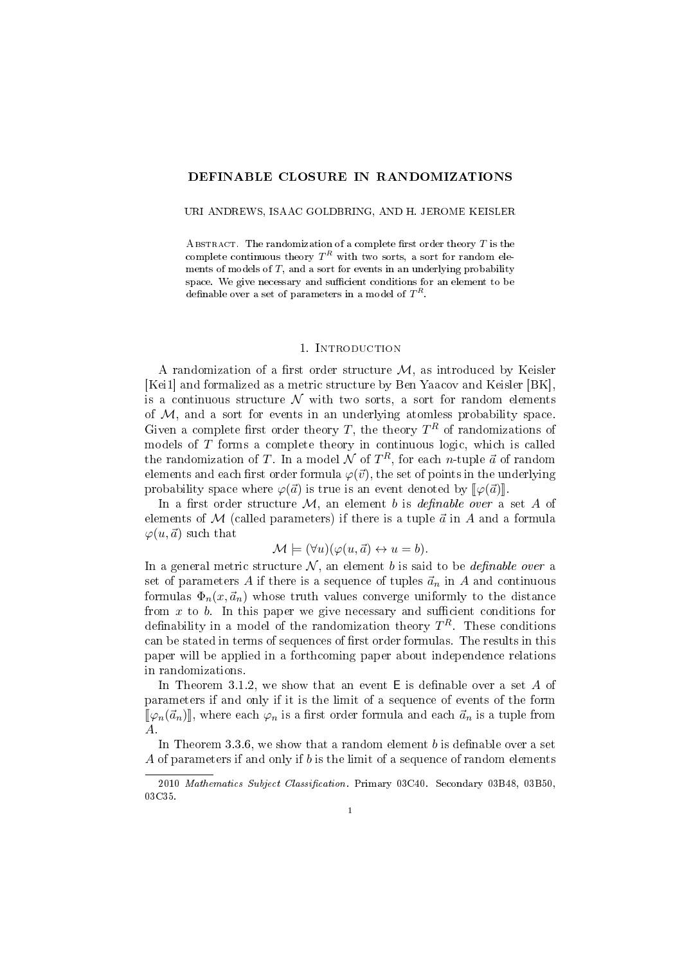# DEFINABLE CLOSURE IN RANDOMIZATIONS

URI ANDREWS, ISAAC GOLDBRING, AND H. JEROME KEISLER

ABSTRACT. The randomization of a complete first order theory  $T$  is the complete continuous theory  $T^R$  with two sorts, a sort for random elements of models of  $T$ , and a sort for events in an underlying probability space. We give necessary and sufficient conditions for an element to be definable over a set of parameters in a model of  $T^R$ .

### 1. Introduction

A randomization of a first order structure  $M$ , as introduced by Keisler [Kei1] and formalized as a metric structure by Ben Yaacov and Keisler [BK], is a continuous structure  $\mathcal N$  with two sorts, a sort for random elements of  $M$ , and a sort for events in an underlying atomless probability space. Given a complete first order theory T, the theory  $T^R$  of randomizations of models of  $T$  forms a complete theory in continuous logic, which is called the randomization of T. In a model  $\mathcal N$  of  $T^R$ , for each n-tuple  $\vec a$  of random elements and each first order formula  $\varphi(\vec{v})$ , the set of points in the underlying probability space where  $\varphi(\vec{a})$  is true is an event denoted by  $\lbrack\! \lbrack \varphi(\vec{a})\rbrack\! \rbrack$ .

In a first order structure  $M$ , an element b is *definable over* a set A of elements of  $M$  (called parameters) if there is a tuple  $\vec{a}$  in  $A$  and a formula  $\varphi(u, \vec{a})$  such that

$$
\mathcal{M} \models (\forall u)(\varphi(u,\vec{a}) \leftrightarrow u = b).
$$

In a general metric structure  $N$ , an element b is said to be *definable over* a set of parameters A if there is a sequence of tuples  $\vec{a}_n$  in A and continuous formulas  $\Phi_n(x, \vec{a}_n)$  whose truth values converge uniformly to the distance from  $x$  to  $b$ . In this paper we give necessary and sufficient conditions for definability in a model of the randomization theory  $T^R$ . These conditions can be stated in terms of sequences of first order formulas. The results in this paper will be applied in a forthcoming paper about independence relations in randomizations.

In Theorem 3.1.2, we show that an event  $E$  is definable over a set A of parameters if and only if it is the limit of a sequence of events of the form  $[\![\varphi_n(\vec{a}_n)]\!]$ , where each  $\varphi_n$  is a first order formula and each  $\vec{a}_n$  is a tuple from A.

In Theorem 3.3.6, we show that a random element  $b$  is definable over a set A of parameters if and only if b is the limit of a sequence of random elements

<sup>2010</sup> Mathematics Subject Classification. Primary 03C40. Secondary 03B48, 03B50, 03C35.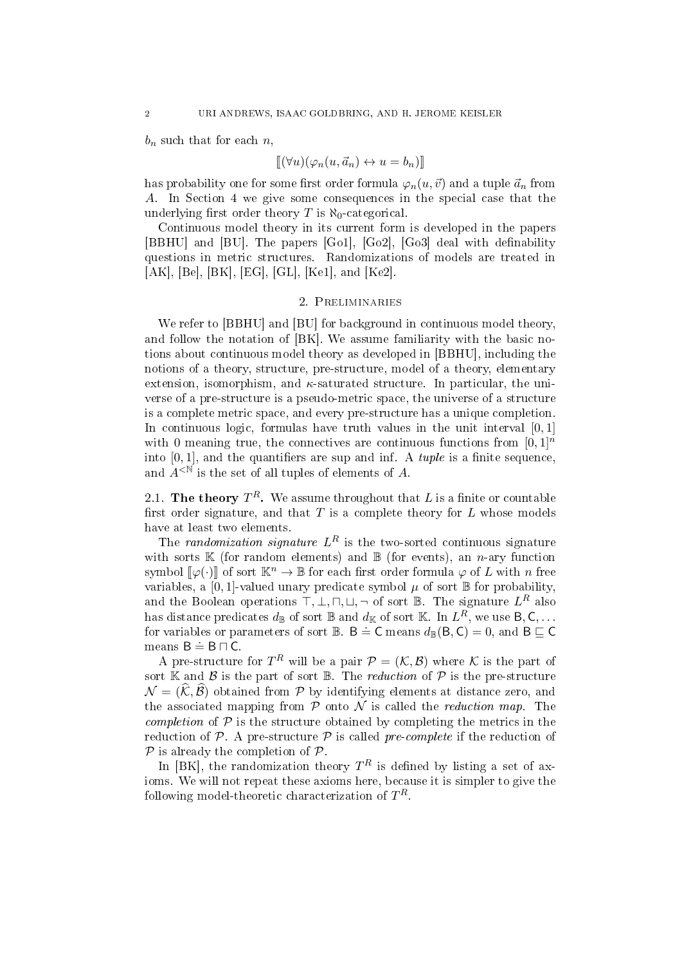$b_n$  such that for each  $n$ ,

$$
[\![(\forall u)(\varphi_n(u,\vec{a}_n)\leftrightarrow u=b_n)]\!]
$$

has probability one for some first order formula  $\varphi_n(u, \vec{v})$  and a tuple  $\vec{a}_n$  from A. In Section 4 we give some consequences in the special case that the underlying first order theory T is  $\aleph_0$ -categorical.

Continuous model theory in its current form is developed in the papers [BBHU] and [BU]. The papers [Go1], [Go2], [Go3] deal with definability questions in metric structures. Randomizations of models are treated in [AK], [Be], [BK], [EG], [GL], [Ke1], and [Ke2].

# 2. Preliminaries

We refer to [BBHU] and [BU] for background in continuous model theory. and follow the notation of [BK]. We assume familiarity with the basic notions about continuous model theory as developed in [BBHU], including the notions of a theory, structure, pre-structure, model of a theory, elementary extension, isomorphism, and  $\kappa$ -saturated structure. In particular, the universe of a pre-structure is a pseudo-metric space, the universe of a structure is a complete metric space, and every pre-structure has a unique completion. In continuous logic, formulas have truth values in the unit interval  $[0,1]$ with 0 meaning true, the connectives are continuous functions from  $[0, 1]^n$ into  $[0, 1]$ , and the quantifiers are sup and inf. A *tuple* is a finite sequence. and  $A^{\leq N}$  is the set of all tuples of elements of A.

2.1. The theory  $T^R$ . We assume throughout that L is a finite or countable first order signature, and that  $T$  is a complete theory for  $L$  whose models have at least two elements.

The randomization signature  $L^R$  is the two-sorted continuous signature with sorts  $K$  (for random elements) and  $B$  (for events), an *n*-ary function symbol  $\llbracket \varphi(\cdot) \rrbracket$  of sort  $\mathbb{K}^n \to \mathbb{B}$  for each first order formula  $\varphi$  of L with n free variables, a [0, 1]-valued unary predicate symbol  $\mu$  of sort  $\mathbb B$  for probability. and the Boolean operations  $\top, \bot, \sqcap, \sqcup, \neg$  of sort B. The signature  $L^R$  also has distance predicates  $d_\mathbb{B}$  of sort  $\mathbb B$  and  $d_\mathbb{K}$  of sort  $\mathbb K.$  In  $L^R,$  we use  $\mathsf B, \mathsf C, \ldots$ for variables or parameters of sort  $\mathbb{B}$ .  $\mathsf{B} \doteq \mathsf{C}$  means  $d_{\mathbb{B}}(\mathsf{B},\mathsf{C}) = 0$ , and  $\mathsf{B} \subseteq \mathsf{C}$ means  $B \doteq B \sqcap C$ .

A pre-structure for  $T^R$  will be a pair  $\mathcal{P} = (\mathcal{K}, \mathcal{B})$  where  $\mathcal K$  is the part of sort  $\mathbb K$  and  $\mathcal B$  is the part of sort  $\mathbb B$ . The *reduction* of  $\mathcal P$  is the pre-structure  $\mathcal{N} = (\mathcal{K}, \mathcal{B})$  obtained from P by identifying elements at distance zero, and the associated mapping from  $P$  onto  $\mathcal N$  is called the *reduction map*. The *completion* of  $P$  is the structure obtained by completing the metrics in the reduction of  $P$ . A pre-structure  $P$  is called pre-complete if the reduction of  $P$  is already the completion of  $P$ .

In [BK], the randomization theory  $T^R$  is defined by listing a set of axioms. We will not repeat these axioms here, because it is simpler to give the following model-theoretic characterization of  $T^R$ .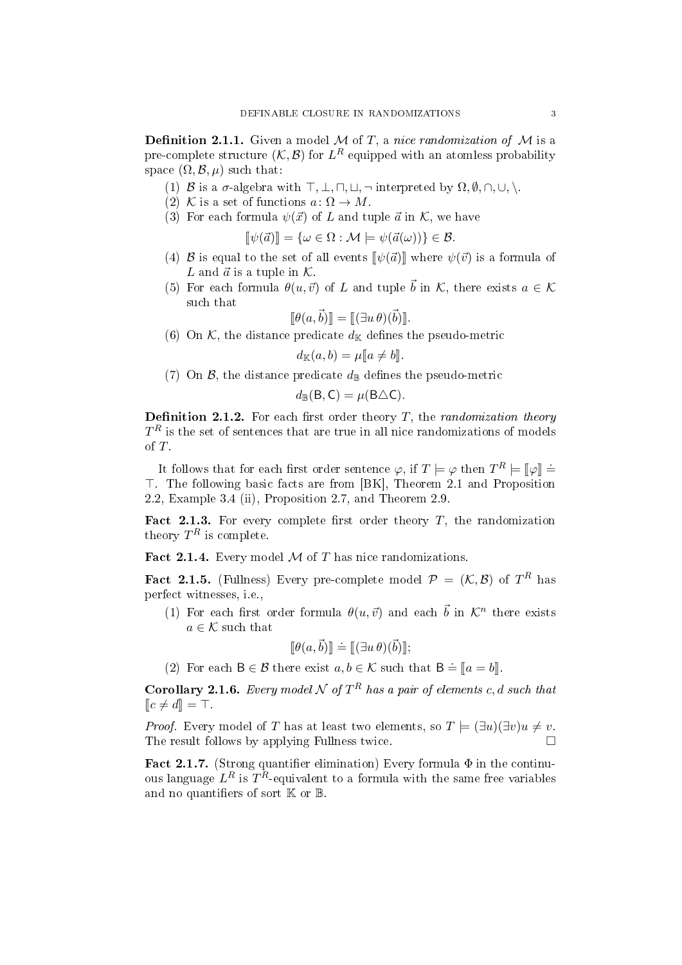**Definition 2.1.1.** Given a model  $M$  of  $T$ , a nice randomization of  $M$  is a pre-complete structure  $(K, \mathcal{B})$  for  $L^R$  equipped with an atomless probability space  $(\Omega, \mathcal{B}, \mu)$  such that:

- (1) B is a  $\sigma$ -algebra with  $\top, \bot, \sqcap, \sqcup, \neg$  interpreted by  $\Omega, \emptyset, \sqcap, \cup, \setminus$ .
- (2) K is a set of functions  $a: \Omega \to M$ .
- (3) For each formula  $\psi(\vec{x})$  of L and tuple  $\vec{a}$  in K, we have

$$
[\![\psi(\vec{a})]\!] = \{\omega \in \Omega : \mathcal{M} \models \psi(\vec{a}(\omega))\} \in \mathcal{B}.
$$

- (4) B is equal to the set of all events  $[\![\psi(\vec{a})]\!]$  where  $\psi(\vec{v})$  is a formula of  $I$ , and  $\vec{a}$  is a tuple in  $K$ L and  $\vec{a}$  is a tuple in  $\mathcal{K}$ .
- (5) For each formula  $\theta(u, \vec{v})$  of L and tuple  $\vec{b}$  in K, there exists  $a \in \mathcal{K}$ such that

$$
[\![\theta(a,\vec{b})]\!] = [\![(\exists u \theta)(\vec{b})]\!].
$$

(6) On  $K$ , the distance predicate  $d_K$  defines the pseudo-metric

$$
d_{\mathbb{K}}(a,b) = \mu[\![a \neq b]\!].
$$

(7) On  $\mathcal{B}$ , the distance predicate  $d_{\mathbb{B}}$  defines the pseudo-metric

$$
d_{\mathbb{B}}(\mathsf{B},\mathsf{C})=\mu(\mathsf{B}\triangle\mathsf{C}).
$$

**Definition 2.1.2.** For each first order theory  $T$ , the *randomization theory*  $T^R$  is the set of sentences that are true in all nice randomizations of models of T.

It follows that for each first order sentence  $\varphi$ , if  $T \models \varphi$  then  $T^R \models [\varphi] \doteq$ <br>The following basic facts are from [BK]. Theorem 2.1 and Proposition >. The following basic facts are from [BK], Theorem 2.1 and Proposition 2.2, Example 3.4 (ii), Proposition 2.7, and Theorem 2.9.

Fact 2.1.3. For every complete first order theory  $T$ , the randomization theory  $T^R$  is complete.

Fact 2.1.4. Every model  $M$  of  $T$  has nice randomizations.

Fact 2.1.5. (Fullness) Every pre-complete model  $\mathcal{P} = (\mathcal{K}, \mathcal{B})$  of  $T^R$  has perfect witnesses, i.e.,

(1) For each first order formula  $\theta(u, \vec{v})$  and each  $\vec{b}$  in  $\mathcal{K}^n$  there exists  $a \in \mathcal{K}$  such that

$$
[\![\theta(a,\vec{b})]\!] \doteq [\![(\exists u \, \theta)(\vec{b})]\!];
$$

(2) For each  $B \in \mathcal{B}$  there exist  $a, b \in \mathcal{K}$  such that  $B \doteq [a = b]$ .

**Corollary 2.1.6.** Every model N of  $T^R$  has a pair of elements c, d such that  $\llbracket c \neq d \rrbracket = \top.$ 

*Proof.* Every model of T has at least two elements, so  $T \models (\exists u)(\exists v)u \neq v$ . The result follows by applying Fullness twice.

Fact 2.1.7. (Strong quantifier elimination) Every formula  $\Phi$  in the continuous language  $L^R$  is  $T^R$ -equivalent to a formula with the same free variables and no quantifiers of sort  $\mathbb K$  or  $\mathbb B$ .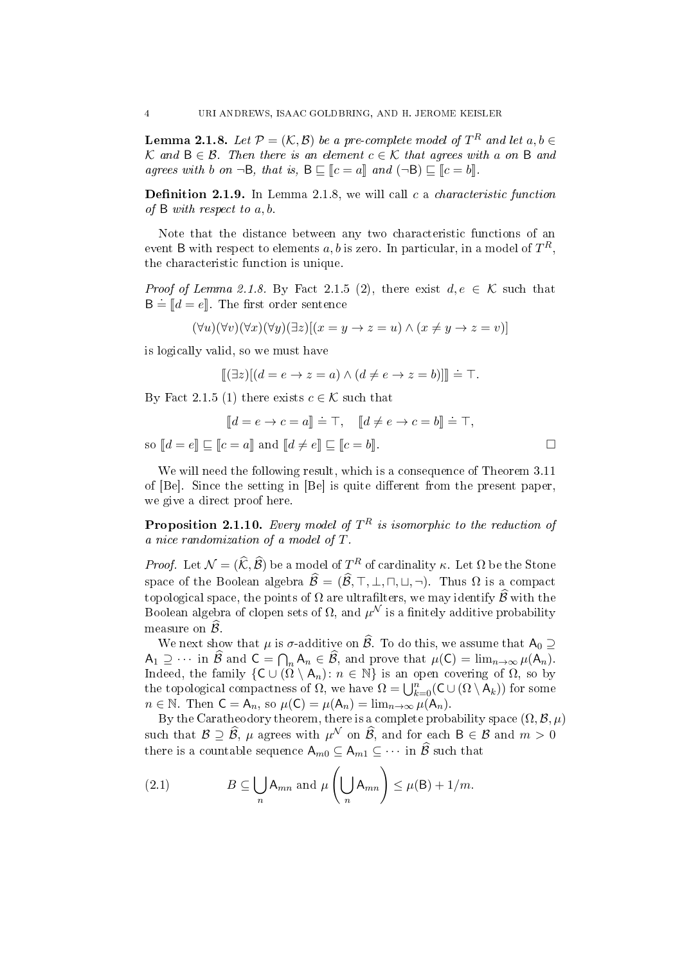**Lemma 2.1.8.** Let  $\mathcal{P} = (\mathcal{K}, \mathcal{B})$  be a pre-complete model of  $T^R$  and let  $a, b \in$ K and B ∈ B. Then there is an element  $c \in K$  that agrees with a on B and agrees with b on  $\neg B$ , that is,  $B \sqsubset [c = a]$  and  $(\neg B) \sqsubset [c = b]$ .

**Definition 2.1.9.** In Lemma 2.1.8, we will call c a *characteristic function* of B with respect to a, b.

Note that the distance between any two characteristic functions of an event B with respect to elements  $a,b$  is zero. In particular, in a model of  $T^R,$ the characteristic function is unique.

*Proof of Lemma 2.1.8.* By Fact 2.1.5 (2), there exist  $d, e \in \mathcal{K}$  such that  $B = [d = e]$ . The first order sentence

$$
(\forall u)(\forall v)(\forall x)(\forall y)(\exists z)[(x = y \to z = u) \land (x \neq y \to z = v)]
$$

is logically valid, so we must have

$$
[\![ (\exists z)[(d = e \to z = a) \land (d \neq e \to z = b)]\!] \doteq \top.
$$

By Fact 2.1.5 (1) there exists  $c \in \mathcal{K}$  such that

$$
[\![d=e \to c=a]\!] \doteq \top, \quad [\![d \neq e \to c=b]\!] \doteq \top,
$$
  
so 
$$
[\![d=e]\!] \sqsubseteq [\![c=a]\!]
$$
 and 
$$
[\![d \neq e]\!] \sqsubseteq [\![c=b]\!].
$$

We will need the following result, which is a consequence of Theorem 3.11 of  $[Be]$ . Since the setting in  $[Be]$  is quite different from the present paper, we give a direct proof here.

**Proposition 2.1.10.** Every model of  $T^R$  is isomorphic to the reduction of a nice randomization of a model of T.

*Proof.* Let  $\mathcal{N} = (\widehat{\mathcal{K}}, \widehat{\mathcal{B}})$  be a model of  $T^R$  of cardinality  $\kappa$ . Let  $\Omega$  be the Stone space of the Boolean algebra  $\widehat{\mathcal{B}} = (\widehat{\mathcal{B}}, \top, \bot, \sqcap, \sqcup, \neg)$ . Thus  $\Omega$  is a compact topological space, the points of  $\Omega$  are ultrafilters, we may identify  $\widehat{\mathcal{B}}$  with the Boolean algebra of clopen sets of  $\Omega,$  and  $\mu^{\mathcal{N}}$  is a finitely additive probability measure on  $\hat{\mathcal{B}}$ .

We next show that  $\mu$  is  $\sigma$ -additive on  $\widehat{\mathcal{B}}$ . To do this, we assume that  $A_0 \supseteq$  $A_1 \supseteq \cdots$  in  $\mathcal{B}$  and  $C = \bigcap_n A_n \in \mathcal{B}$ , and prove that  $\mu(C) = \lim_{n \to \infty} \mu(A_n)$ . Indeed, the family  $\{C \cup (\overline{\Omega} \setminus A_n): n \in \mathbb{N}\}\$ is an open covering of  $\Omega$ , so by the topological compactness of  $\Omega$ , we have  $\Omega = \bigcup_{k=0}^{n} (C \cup (\Omega \setminus A_k))$  for some  $n \in \mathbb{N}$ . Then  $C = A_n$ , so  $\mu(C) = \mu(A_n) = \lim_{n \to \infty} \mu(A_n)$ .

By the Caratheodory theorem, there is a complete probability space  $(\Omega, \mathcal{B}, \mu)$ such that  $\mathcal{B} \supseteq \widehat{\mathcal{B}}$ ,  $\mu$  agrees with  $\mu^{\mathcal{N}}$  on  $\widehat{\mathcal{B}}$ , and for each  $B \in \mathcal{B}$  and  $m > 0$ there is a countable sequence  $A_{m0} \subseteq A_{m1} \subseteq \cdots$  in  $\widehat{\mathcal{B}}$  such that

(2.1) 
$$
B \subseteq \bigcup_{n} A_{mn} \text{ and } \mu\left(\bigcup_{n} A_{mn}\right) \leq \mu(B) + 1/m.
$$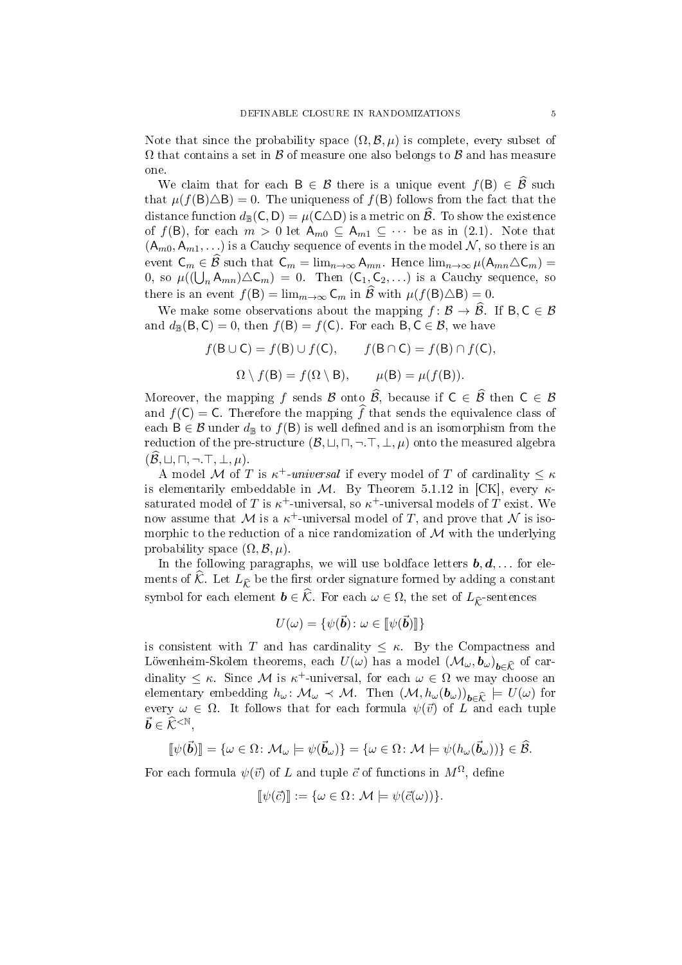Note that since the probability space  $(\Omega, \mathcal{B}, \mu)$  is complete, every subset of  $\Omega$  that contains a set in  $\beta$  of measure one also belongs to  $\beta$  and has measure one.

We claim that for each  $B \in \mathcal{B}$  there is a unique event  $f(B) \in \widehat{\mathcal{B}}$  such that  $\mu(f(\mathsf{B})\triangle\mathsf{B})=0$ . The uniqueness of  $f(\mathsf{B})$  follows from the fact that the distance function  $d_{\mathbb{B}}(\mathsf{C},\mathsf{D})=\mu(\mathsf{C}\triangle\mathsf{D})$  is a metric on  $\widehat{\mathcal{B}}$ . To show the existence of  $f(\mathsf{B})$ , for each  $m > 0$  let  $\mathsf{A}_{m0} \subseteq \mathsf{A}_{m1} \subseteq \cdots$  be as in (2.1). Note that  $(A_{m0}, A_{m1}, ...)$  is a Cauchy sequence of events in the model  $N$ , so there is an event  $C_m \in \mathcal{B}$  such that  $C_m = \lim_{n \to \infty} A_{mn}$ . Hence  $\lim_{n \to \infty} \mu(A_{mn} \triangle C_m) =$ 0, so  $\mu((\bigcup_n A_{mn})\triangle\mathsf{C}_m) = 0$ . Then  $(\mathsf{C}_1,\mathsf{C}_2,\ldots)$  is a Cauchy sequence, so there is an event  $f(\mathsf{B}) = \lim_{m \to \infty} \mathsf{C}_m$  in  $\widehat{\mathcal{B}}$  with  $\mu(f(\mathsf{B}) \triangle \mathsf{B}) = 0$ .

We make some observations about the mapping  $f : \mathcal{B} \to \widehat{\mathcal{B}}$ . If  $B, C \in \mathcal{B}$ and  $d_{\mathbb{B}}(\mathsf{B},\mathsf{C})=0$ , then  $f(\mathsf{B})=f(\mathsf{C})$ . For each  $\mathsf{B},\mathsf{C}\in\mathcal{B}$ , we have

$$
f(\mathsf{B} \cup \mathsf{C}) = f(\mathsf{B}) \cup f(\mathsf{C}), \qquad f(\mathsf{B} \cap \mathsf{C}) = f(\mathsf{B}) \cap f(\mathsf{C}),
$$

$$
\Omega \setminus f(\mathsf{B}) = f(\Omega \setminus \mathsf{B}), \qquad \mu(\mathsf{B}) = \mu(f(\mathsf{B})).
$$

Moreover, the mapping f sends B onto  $\hat{\mathcal{B}}$ , because if  $C \in \hat{\mathcal{B}}$  then  $C \in \mathcal{B}$ and  $f(\mathsf{C}) = \mathsf{C}$ . Therefore the mapping  $\widehat{f}$  that sends the equivalence class of each  $B \in \mathcal{B}$  under  $d_{\mathbb{B}}$  to  $f(B)$  is well defined and is an isomorphism from the reduction of the pre-structure  $(\mathcal{B}, \sqcup, \sqcap, \neg, \top, \bot, \mu)$  onto the measured algebra  $(\widehat{\mathcal{B}}, \sqcup, \sqcap, \neg, \top, \bot, \mu).$ 

A model M of T is  $\kappa^+$ -universal if every model of T of cardinality  $\leq \kappa$ is elementarily embeddable in M. By Theorem 5.1.12 in [CK], every  $\kappa$ saturated model of  $T$  is  $\kappa^+$ -universal, so  $\kappa^+$ -universal models of  $T$  exist. We now assume that M is a  $\kappa^+$ -universal model of T, and prove that N is isomorphic to the reduction of a nice randomization of  $\mathcal M$  with the underlying probability space  $(\Omega, \mathcal{B}, \mu)$ .

In the following paragraphs, we will use boldface letters  $\boldsymbol{b}, \boldsymbol{d}, \ldots$  for elements of  $\hat{\mathcal{K}}$ . Let  $L_{\hat{\mathcal{K}}}$  be the first order signature formed by adding a constant symbol for each element  $\mathbf{b} \in \widehat{K}$ . For each  $\omega \in \Omega$ , the set of  $L_{\widehat{K}}$ -sentences

$$
U(\omega) = \{ \psi(\vec{\boldsymbol{b}}) \colon \omega \in [\![\psi(\vec{\boldsymbol{b}})]\!]\}
$$

is consistent with T and has cardinality  $\leq \kappa$ . By the Compactness and Löwenheim-Skolem theorems, each  $U(\omega)$  has a model  $(\mathcal{M}_{\omega}, \boldsymbol{b}_{\omega})_{\boldsymbol{b}\in \widehat{\mathcal{K}}}$  of cardinality  $\leq \kappa$ . Since M is  $\kappa^+$ -universal, for each  $\omega \in \Omega$  we may choose an elementary embedding  $h_{\omega} \colon \mathcal{M}_{\omega} \prec \mathcal{M}$ . Then  $(\mathcal{M}, h_{\omega}(\boldsymbol{b}_{\omega}))_{\boldsymbol{b} \in \widehat{\mathcal{K}}} \models U(\omega)$  for every  $\omega \in \Omega$ . It follows that for each formula  $\psi(\vec{v})$  of L and each tuple  $\vec{b} \in \widehat{\mathcal{K}}^{<\mathbb{N}}.$ 

$$
[\![\psi(\vec{b})]\!] = {\omega \in \Omega : \mathcal{M}_{\omega} \models \psi(\vec{b}_{\omega})\} = {\omega \in \Omega : \mathcal{M} \models \psi(h_{\omega}(\vec{b}_{\omega}))\} \in \widehat{\mathcal{B}}.
$$

For each formula  $\psi(\vec{v})$  of L and tuple  $\vec{c}$  of functions in  $M^{\Omega}$ , define

$$
[\![\psi(\vec{c})]\!] := {\omega \in \Omega} \colon \mathcal{M} \models \psi(\vec{c}(\omega))\}.
$$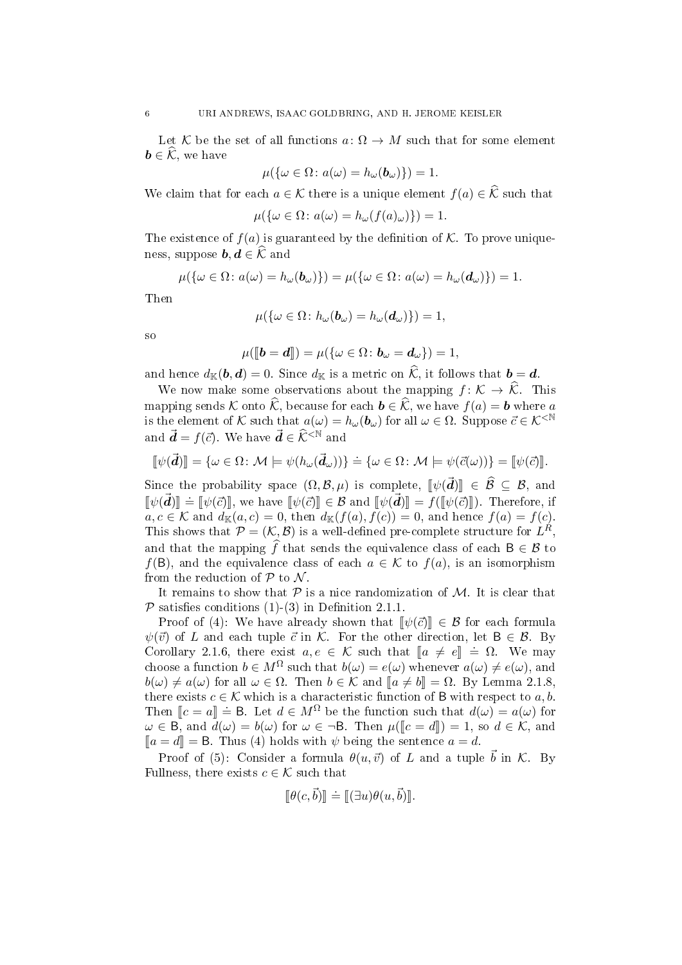Let K be the set of all functions  $a: \Omega \to M$  such that for some element  $\mathbf{b} \in \mathcal{K}$ , we have

$$
\mu(\{\omega \in \Omega \colon a(\omega) = h_{\omega}(\boldsymbol{b}_{\omega})\}) = 1.
$$

We claim that for each  $a \in \mathcal{K}$  there is a unique element  $f(a) \in \widehat{\mathcal{K}}$  such that

$$
\mu(\{\omega \in \Omega \colon a(\omega) = h_{\omega}(f(a)_{\omega})\}) = 1.
$$

The existence of  $f(a)$  is guaranteed by the definition of K. To prove uniqueness, suppose  $\boldsymbol{b}, \boldsymbol{d} \in \widehat{\mathcal{K}}$  and

$$
\mu(\{\omega \in \Omega \colon a(\omega) = h_{\omega}(\boldsymbol{b}_{\omega})\}) = \mu(\{\omega \in \Omega \colon a(\omega) = h_{\omega}(\boldsymbol{d}_{\omega})\}) = 1.
$$

Then

$$
\mu(\{\omega \in \Omega \colon h_{\omega}(\boldsymbol{b}_{\omega}) = h_{\omega}(\boldsymbol{d}_{\omega})\}) = 1,
$$

so

$$
\mu(\llbracket \boldsymbol{b}=\boldsymbol{d} \rrbracket)=\mu(\{\omega\in\Omega\colon \boldsymbol{b}_{\omega}=\boldsymbol{d}_{\omega}\})=1,
$$

and hence  $d_{\mathbb{K}}(\boldsymbol{b}, \boldsymbol{d}) = 0$ . Since  $d_{\mathbb{K}}$  is a metric on  $\mathcal{K}$ , it follows that  $\boldsymbol{b} = \boldsymbol{d}$ .

We now make some observations about the mapping  $f: \mathcal{K} \to \widehat{\mathcal{K}}$ . This mapping sends K onto  $\widehat{\mathcal{K}}$ , because for each  $\mathbf{b} \in \widehat{\mathcal{K}}$ , we have  $f(a) = \mathbf{b}$  where a is the element of K such that  $a(\omega) = h_{\omega}(\boldsymbol{b}_{\omega})$  for all  $\omega \in \Omega$ . Suppose  $\vec{c} \in \mathcal{K}^{\leq N}$ and  $\vec{\mathbf{d}} = f(\vec{c})$ . We have  $\vec{\mathbf{d}} \in \widehat{\mathcal{K}}^{\leq N}$  and

$$
[\![\psi(\vec{\pmb d})]\!] = \{\omega \in \Omega \colon \mathcal{M} \models \psi(h_\omega(\vec{\pmb d}_\omega))\} \doteq \{\omega \in \Omega \colon \mathcal{M} \models \psi(\vec{c}(\omega))\} = [\![\psi(\vec{c})]\!].
$$

Since the probability space  $(\Omega, \mathcal{B}, \mu)$  is complete,  $[\![\psi(\vec{d})]\!] \in \widehat{\mathcal{B}} \subseteq \mathcal{B}$ , and  $[\![\psi(\vec{d})]\!]$  $[\psi(\vec{d})] = [\psi(\vec{c})]$ , we have  $[\psi(\vec{c})] \in \mathcal{B}$  and  $[\psi(\vec{d})] = f([\psi(\vec{c})])$ . Therefore, if  $a, c \in \mathcal{K}$  and  $d_{\mathbb{K}}(a, c) = 0$ , then  $d_{\mathbb{K}}(f(a), f(c)) = 0$ , and hence  $f(a) = f(c)$ . This shows that  $\mathcal{P} = (\mathcal{K}, \mathcal{B})$  is a well-defined pre-complete structure for  $L^R$ , and that the mapping  $\widehat{f}$  that sends the equivalence class of each  $B \in \mathcal{B}$  to  $f(\mathsf{B})$ , and the equivalence class of each  $a \in \mathcal{K}$  to  $f(a)$ , is an isomorphism from the reduction of  $P$  to  $\mathcal N$ .

It remains to show that  $P$  is a nice randomization of  $M$ . It is clear that  $\mathcal P$  satisfies conditions (1)-(3) in Definition 2.1.1.

Proof of (4): We have already shown that  $\llbracket \psi(\vec{c}) \rrbracket \in \mathcal{B}$  for each formula  $\psi(\vec{v})$  of L and each tuple  $\vec{c}$  in K. For the other direction, let  $B \in \mathcal{B}$ . By Corollary 2.1.6, there exist  $a, e \in \mathcal{K}$  such that  $[a \neq e] \doteq \Omega$ . We may<br>choose a function  $b \in M^{\Omega}$  such that  $b(x) = c(x)$  whenever  $c(x) \neq c(x)$  and choose a function  $b \in M^{\Omega}$  such that  $b(\omega) = e(\omega)$  whenever  $a(\omega) \neq e(\omega)$ , and  $b(\omega) \neq a(\omega)$  for all  $\omega \in \Omega$ . Then  $b \in \mathcal{K}$  and  $\llbracket a \neq b \rrbracket = \Omega$ . By Lemma 2.1.8, there exists  $c \in \mathcal{K}$  which is a characteristic function of B with respect to a, b. Then  $[c = a] \doteq B$ . Let  $d \in M^{\Omega}$  be the function such that  $d(\omega) = a(\omega)$  for  $\omega \in B$ , and  $d(\omega) = b(\omega)$  for  $\omega \in B$ . Then  $u([c - d]) = 1$ , so  $d \in K$ , and  $\omega \in \overline{B}$ , and  $d(\omega) = b(\omega)$  for  $\omega \in \neg B$ . Then  $\mu(\llbracket c = d \rrbracket) = 1$ , so  $d \in \mathcal{K}$ , and  $[a = d] = B$ . Thus (4) holds with  $\psi$  being the sentence  $a = d$ .

Proof of (5): Consider a formula  $\theta(u, \vec{v})$  of L and a tuple  $\vec{b}$  in K. By Fullness, there exists  $c \in \mathcal{K}$  such that

$$
[\![\theta(c,\vec{b})]\!] \doteq [ [\![\exists u)\theta(u,\vec{b})]\!].
$$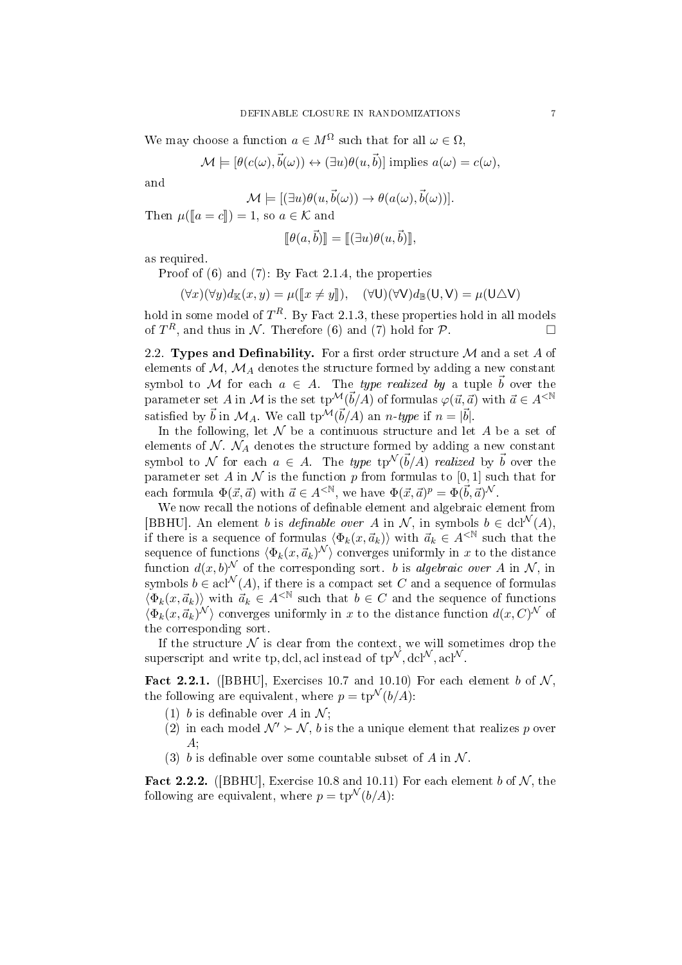We may choose a function  $a \in M^{\Omega}$  such that for all  $\omega \in \Omega$ ,

$$
\mathcal{M} \models [\theta(c(\omega), \vec{b}(\omega)) \leftrightarrow (\exists u)\theta(u, \vec{b})] \text{ implies } a(\omega) = c(\omega),
$$

and

$$
\mathcal{M} \models [(\exists u)\theta(u,\vec{b}(\omega)) \to \theta(a(\omega),\vec{b}(\omega))].
$$

Then  $\mu(\llbracket a = c \rrbracket) = 1$ , so  $a \in \mathcal{K}$  and

$$
[\![\theta(a,\vec{b})]\!] = [\![(\exists u)\theta(u,\vec{b})]\!],
$$

as required.

Proof of (6) and (7): By Fact 2.1.4, the properties

$$
(\forall x)(\forall y)d_{\mathbb{K}}(x,y) = \mu([\![x \neq y]\!]), \quad (\forall \mathsf{U})(\forall \mathsf{V})d_{\mathbb{B}}(\mathsf{U},\mathsf{V}) = \mu(\mathsf{U}\triangle \mathsf{V})
$$

hold in some model of  $T^R$ . By Fact 2.1.3, these properties hold in all models of  $T^R$ , and thus in N. Therefore (6) and (7) hold for P.

2.2. Types and Definability. For a first order structure  $\mathcal M$  and a set A of elements of  $M$ ,  $M_A$  denotes the structure formed by adding a new constant symbol to M for each  $a \in A$ . The type realized by a tuple  $\vec{b}$  over the parameter set A in M is the set  $tp^{\mathcal{M}}(\vec{b}/A)$  of formulas  $\varphi(\vec{u}, \vec{a})$  with  $\vec{a} \in A^{\leq \mathbb{N}}$ satisfied by  $\vec{b}$  in  $\mathcal{M}_A$ . We call tp $^{\mathcal{M}}(\vec{b}/A)$  an n-type if  $n = |\vec{b}|$ .

In the following, let  $N$  be a continuous structure and let  $A$  be a set of elements of  $\mathcal{N}$ .  $\mathcal{N}_A$  denotes the structure formed by adding a new constant symbol to  $\mathcal N$  for each  $a ~\in~ A.$  The type tp ${}^{\mathcal N}(\vec b/A)$  realized by  $\vec b$  over the parameter set A in N is the function p from formulas to [0, 1] such that for each formula  $\Phi(\vec{x}, \vec{a})$  with  $\vec{a} \in A^{\langle \mathbb{N} \rangle}$ , we have  $\Phi(\vec{x}, \vec{a})^p = \Phi(\vec{b}, \vec{a})^{\mathcal{N}}$ .

We now recall the notions of definable element and algebraic element from [BBHU]. An element b is definable over A in N, in symbols  $b \in \text{dcl}^{\mathcal{N}}(A)$ , if there is a sequence of formulas  $\langle \Phi_k(x, \vec{a}_k) \rangle$  with  $\vec{a}_k \in A^{\langle N \rangle}$  such that the sequence of functions  $\langle \Phi_k (x, \vec{a}_k)^{\mathcal{N}} \rangle$  converges uniformly in  $x$  to the distance function  $d(x, b)^{\mathcal{N}}$  of the corresponding sort. b is algebraic over A in  $\mathcal{N}$ , in symbols  $b \in \operatorname{acl}^{\mathcal{N}}(A)$ , if there is a compact set C and a sequence of formulas  $\langle \Phi_k(x, \vec{a}_k) \rangle$  with  $\vec{a}_k \in A^{<\mathbb{N}}$  such that  $b \in C$  and the sequence of functions  $\langle \Phi_k(x, \vec{a}_k)^{\mathcal{N}} \rangle$  converges uniformly in x to the distance function  $d(x, C)^{\mathcal{N}}$  of the corresponding sort.

If the structure  $N$  is clear from the context, we will sometimes drop the superscript and write tp, dcl, acl instead of  $tp^{\mathcal{N}}$ , dcl<sup>N</sup>, acl<sup>N</sup>.

Fact 2.2.1. ([BBHU], Exercises 10.7 and 10.10) For each element b of  $\mathcal N$ . the following are equivalent, where  $p = \text{tp}^{\mathcal{N}}(b/A)$ :

- (1) b is definable over A in  $\mathcal{N}$ :
- (2) in each model  $\mathcal{N}' \succ \mathcal{N}$ , b is the a unique element that realizes p over A;
- (3) b is definable over some countable subset of A in  $\mathcal N$ .

Fact 2.2.2. ([BBHU], Exercise 10.8 and 10.11) For each element b of  $\mathcal{N}$ , the following are equivalent, where  $p = \text{tp}^{\mathcal{N}}(b/A)$ :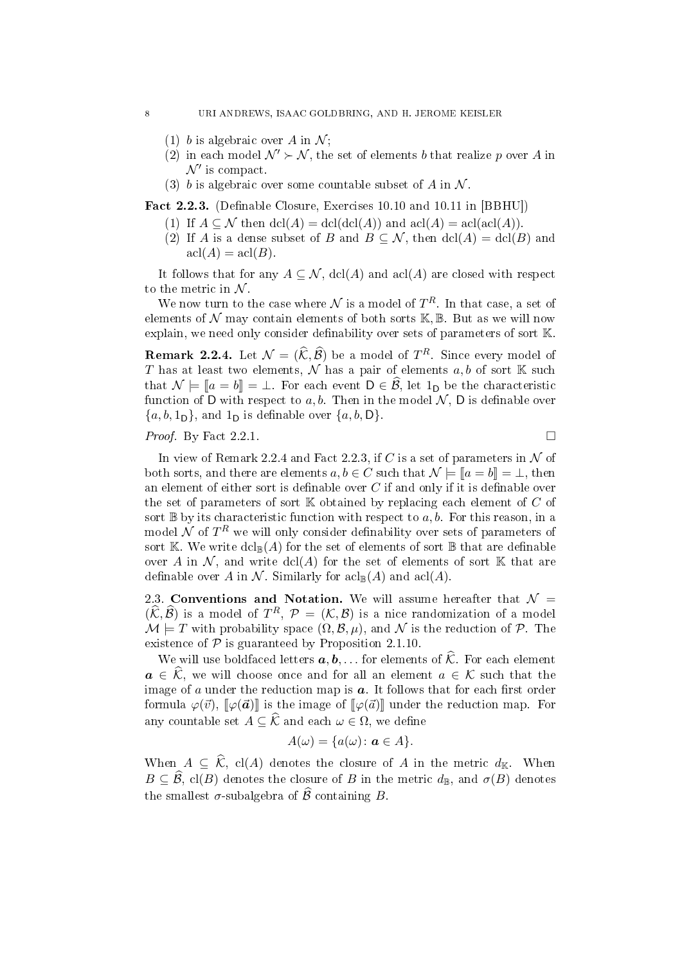- (1) b is algebraic over A in  $\mathcal{N}$ ;
- (2) in each model  $\mathcal{N}' \succ \mathcal{N}$ , the set of elements b that realize p over A in  $\mathcal{N}'$  is compact.
- (3) b is algebraic over some countable subset of A in  $\mathcal N$ .

Fact 2.2.3. (Definable Closure, Exercises 10.10 and 10.11 in [BBHU])

- (1) If  $A \subseteq \mathcal{N}$  then  $dcl(A) = dcl(dcl(A))$  and  $acl(A) = acl(ad(A))$ .
- (2) If A is a dense subset of B and  $B \subseteq \mathcal{N}$ , then  $\text{dcl}(A) = \text{dcl}(B)$  and  $\operatorname{acl}(A) = \operatorname{acl}(B)$ .

It follows that for any  $A \subseteq \mathcal{N}$ , dcl(A) and acl(A) are closed with respect to the metric in  $N$ .

We now turn to the case where  $\mathcal N$  is a model of  $T^R$ . In that case, a set of elements of  $\mathcal N$  may contain elements of both sorts  $\mathbb K, \mathbb B$ . But as we will now explain, we need only consider definability over sets of parameters of sort  $K$ 

**Remark 2.2.4.** Let  $\mathcal{N} = (\widehat{\mathcal{K}}, \widehat{\mathcal{B}})$  be a model of  $T^R$ . Since every model of T has at least two elements,  $\mathcal N$  has a pair of elements  $a, b$  of sort K such that  $\mathcal{N} \models \llbracket a = b \rrbracket = \bot$ . For each event  $D \in \widehat{\mathcal{B}}$ , let  $1_D$  be the characteristic function of D with respect to a, b. Then in the model  $\mathcal{N}$ , D is definable over  $\{a, b, 1_D\}$ , and  $1_D$  is definable over  $\{a, b, D\}$ .

#### *Proof.* By Fact 2.2.1.

In view of Remark 2.2.4 and Fact 2.2.3, if C is a set of parameters in  $\mathcal N$  of both sorts, and there are elements  $a, b \in C$  such that  $\mathcal{N} \models [a = b] = \bot$ , then an element of either sort is definable over  $C$  if and only if it is definable over the set of parameters of sort  $K$  obtained by replacing each element of  $C$  of sort  $\mathbb B$  by its characteristic function with respect to a, b. For this reason, in a model  $\cal N$  of  $T^R$  we will only consider definability over sets of parameters of sort K. We write  $dcl_{\mathbb{B}}(A)$  for the set of elements of sort  $\mathbb B$  that are definable over A in N, and write  $dcl(A)$  for the set of elements of sort K that are definable over A in N. Similarly for  $\operatorname{acl}_{\mathbb{B}}(A)$  and  $\operatorname{acl}(A)$ .

2.3. Conventions and Notation. We will assume hereafter that  $\mathcal{N} =$  $(\widehat{\mathcal{K}}, \widehat{\mathcal{B}})$  is a model of  $T^R$ ,  $\mathcal{P} = (\mathcal{K}, \mathcal{B})$  is a nice randomization of a model  $\mathcal{M} \models T$  with probability space  $(\Omega, \mathcal{B}, \mu)$ , and  $\mathcal{N}$  is the reduction of  $\mathcal{P}$ . The existence of  $P$  is guaranteed by Proposition 2.1.10.

We will use boldfaced letters  $a, b, \ldots$  for elements of  $\hat{\mathcal{K}}$ . For each element  $a \in \widehat{\mathcal{K}}$ , we will choose once and for all an element  $a \in \mathcal{K}$  such that the image of  $a$  under the reduction map is  $a$ . It follows that for each first order formula  $\varphi(\vec{v}), \llbracket \varphi(\vec{a}) \rrbracket$  is the image of  $\llbracket \varphi(\vec{a}) \rrbracket$  under the reduction map. For any countable set  $A \subseteq \widehat{\mathcal{K}}$  and each  $\omega \in \Omega$ , we define

$$
A(\omega) = \{a(\omega) : a \in A\}.
$$

When  $A \subseteq \widehat{\mathcal{K}}$ , cl(A) denotes the closure of A in the metric  $d_{\mathbb{K}}$ . When  $B \subseteq \widehat{\mathcal{B}}$ , cl(B) denotes the closure of B in the metric  $d_{\mathbb{B}}$ , and  $\sigma(B)$  denotes the smallest  $\sigma$ -subalgebra of  $\widehat{\mathcal{B}}$  containing B.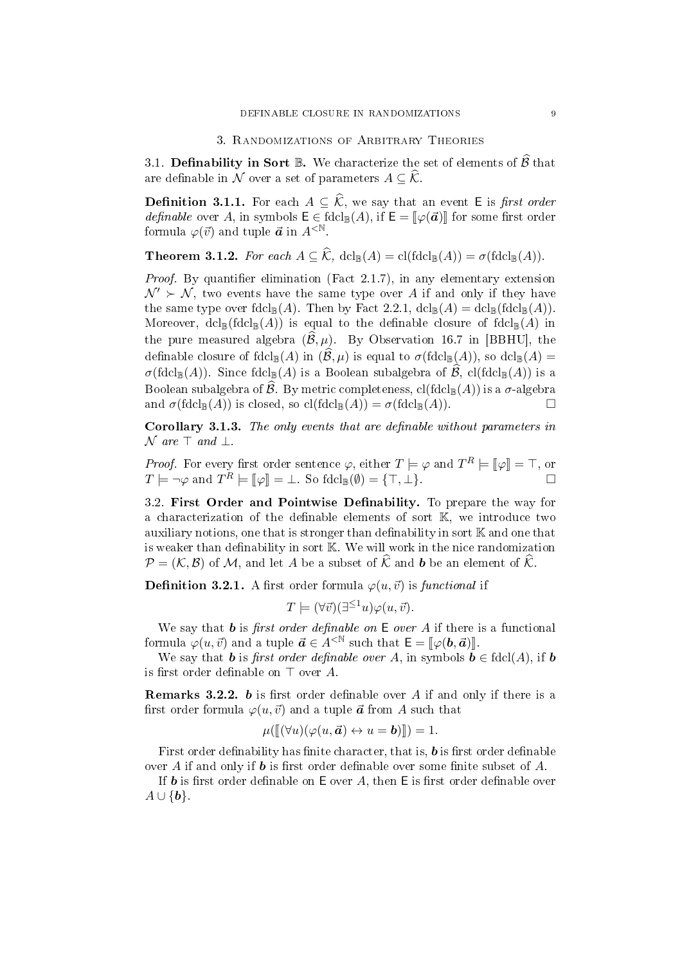#### 3. Randomizations of Arbitrary Theories

3.1. Definability in Sort B. We characterize the set of elements of  $\widehat{\mathcal{B}}$  that are definable in N over a set of parameters  $A \subseteq \widehat{\mathcal{K}}$ .

**Definition 3.1.1.** For each  $A \subseteq \widehat{\mathcal{K}}$ , we say that an event E is *first order definable* over A, in symbols  $E \in \text{fdcl}_{\mathbb{B}}(A)$ , if  $E = \llbracket \varphi(\vec{a}) \rrbracket$  for some first order formula  $\varphi(\vec{v})$  and tuple  $\vec{a}$  in  $A^{\leq N}$ .

**Theorem 3.1.2.** For each  $A \subseteq \widehat{\mathcal{K}}$ , dcl<sub>B</sub> $(A) = \text{cl}(\text{fdcl}_{\mathbb{B}}(A)) = \sigma(\text{fdcl}_{\mathbb{B}}(A)).$ 

*Proof.* By quantifier elimination (Fact 2.1.7), in any elementary extension  $\mathcal{N}' \succ \mathcal{N}$ , two events have the same type over A if and only if they have the same type over  $\text{fdcl}_{\mathbb{B}}(A)$ . Then by Fact 2.2.1,  $\text{dcl}_{\mathbb{B}}(A) = \text{dcl}_{\mathbb{B}}(\text{fdcl}_{\mathbb{B}}(A)).$ Moreover,  $dcl_{\mathbb{B}}(f dcl_{\mathbb{B}}(A))$  is equal to the definable closure of  $f dcl_{\mathbb{B}}(A)$  in the pure measured algebra  $(\widehat{\mathcal{B}}, \mu)$ . By Observation 16.7 in [BBHU], the definable closure of fdcl<sub>B</sub>(A) in  $(\mathcal{B}, \mu)$  is equal to  $\sigma(\text{fdcl}_{\mathbb{B}}(A))$ , so dcl<sub>B</sub>(A) =  $\sigma(\text{fdcl}_{\mathbb{B}}(A))$ . Since  $\text{fdcl}_{\mathbb{B}}(A)$  is a Boolean subalgebra of  $\widehat{\mathcal{B}}$ , cl( $\text{fdcl}_{\mathbb{B}}(A)$ ) is a Boolean subalgebra of  $\hat{\mathcal{B}}$ . By metric completeness, cl(fdcl<sub>B</sub>(A)) is a  $\sigma$ -algebra and  $\sigma$ (fdcl<sub>P</sub>(A)) is closed so cl(fdcl<sub>P</sub>(A)) =  $\sigma$ (fdcl<sub>P</sub>(A))  $\Box$ and  $\sigma(\text{fdcl}_{\mathbb{B}}(A))$  is closed, so  $\text{cl}(\text{fdcl}_{\mathbb{B}}(A)) = \sigma(\text{fdcl}_{\mathbb{B}}(A)).$ 

Corollary 3.1.3. The only events that are definable without parameters in  $\mathcal N$  are  $\top$  and  $\bot$ .

Proof. For every first order sentence  $\varphi$ , either  $T \models \varphi$  and  $T^R \models [\![\varphi]\!] = \top$ , or  $T \models \neg \varphi$  and  $T^R \models [\![\varphi]\!] = \bot$ . So fdcl $[\![\varphi]\!] = \{\top, \bot\}$ .

3.2. First Order and Pointwise Definability. To prepare the way for a characterization of the definable elements of sort  $K$ , we introduce two auxiliary notions, one that is stronger than definability in sort  $K$  and one that is weaker than definability in sort  $K$ . We will work in the nice randomization  $\mathcal{P} = (\mathcal{K}, \mathcal{B})$  of M, and let A be a subset of  $\hat{\mathcal{K}}$  and b be an element of  $\hat{\mathcal{K}}$ .

**Definition 3.2.1.** A first order formula  $\varphi(u, \vec{v})$  is functional if

$$
T \models (\forall \vec{v}) (\exists^{\leq 1} u) \varphi(u, \vec{v}).
$$

We say that **b** is first order definable on  $E$  over A if there is a functional formula  $\varphi(u, \vec{v})$  and a tuple  $\vec{a} \in A^{\leq \mathbb{N}}$  such that  $\mathsf{E} = [\varphi(\mathbf{b}, \vec{a})]$ .

We say that **b** is first order definable over A, in symbols  $\mathbf{b} \in \text{fdcl}(A)$ , if **b** is first order definable on  $\top$  over A.

Remarks 3.2.2. b is first order definable over  $A$  if and only if there is a first order formula  $\varphi(u, \vec{v})$  and a tuple  $\vec{a}$  from A such that

$$
\mu([\![ (\forall u)(\varphi(u,\vec{\boldsymbol{a}})\leftrightarrow u=\boldsymbol{b})]\!])=1.
$$

First order definability has finite character, that is,  $\boldsymbol{b}$  is first order definable over A if and only if **b** is first order definable over some finite subset of A.

If **b** is first order definable on  $E$  over A, then  $E$  is first order definable over  $A \cup \{b\}.$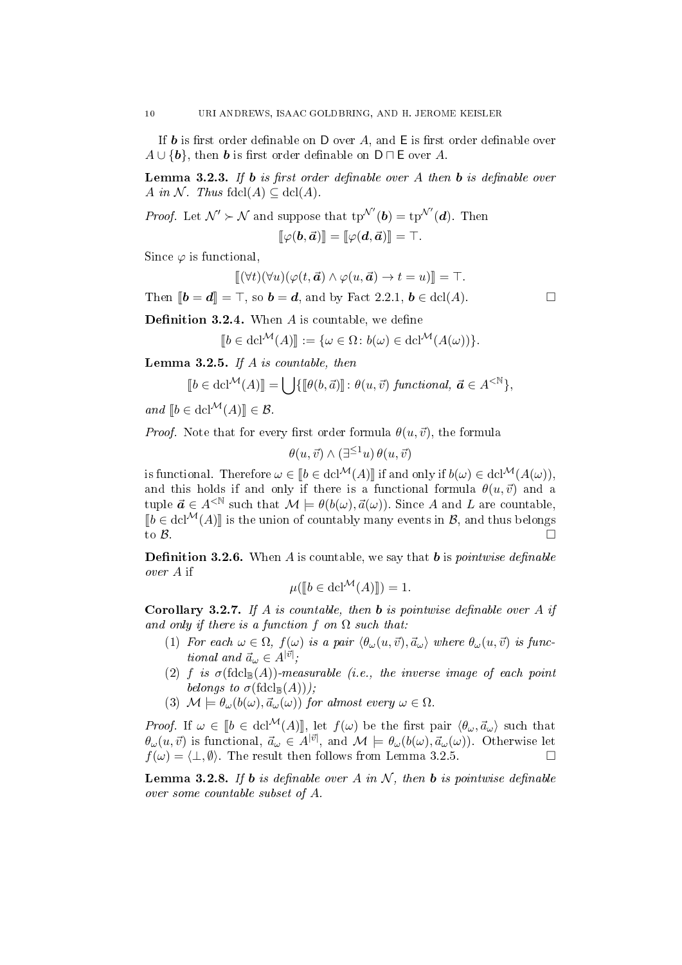If **b** is first order definable on  $D$  over A, and  $E$  is first order definable over  $A \cup \{b\}$ , then **b** is first order definable on  $D \sqcap E$  over A.

**Lemma 3.2.3.** If **b** is first order definable over A then **b** is definable over A in N. Thus fdcl(A)  $\subseteq$  dcl(A).

*Proof.* Let  $\mathcal{N}' \succ \mathcal{N}$  and suppose that  $tp^{\mathcal{N}'}(b) = tp^{\mathcal{N}'}(d)$ . Then

$$
[\![\varphi(\bm{b},\vec{\bm{a}})]\!]=[\![\varphi(\bm{d},\vec{\bm{a}})]\!]=\top.
$$

Since  $\varphi$  is functional,

$$
\llbracket (\forall t)(\forall u)(\varphi(t, \vec{\boldsymbol{a}}) \wedge \varphi(u, \vec{\boldsymbol{a}}) \rightarrow t = u) \rrbracket = \top.
$$

Then  $[\![\boldsymbol{b} = \boldsymbol{d}]\!] = \top$ , so  $\boldsymbol{b} = \boldsymbol{d}$ , and by Fact 2.2.1,  $\boldsymbol{b} \in \text{dcl}(A)$ .

**Definition 3.2.4.** When  $A$  is countable, we define

$$
[[b \in \operatorname{dcl}^{\mathcal{M}}(A)]] := {\omega \in \Omega \colon b(\omega) \in \operatorname{dcl}^{\mathcal{M}}(A(\omega))}.
$$

**Lemma 3.2.5.** If A is countable, then

$$
\llbracket b \in \mathbf{dcl}^{\mathcal{M}}(A) \rrbracket = \bigcup \{ \llbracket \theta(b, \vec{a}) \rrbracket : \theta(u, \vec{v}) \text{ } functional, \ \vec{a} \in A^{<\mathbb{N}} \},
$$

and  $[b \in \text{dcl}^{\mathcal{M}}(A)] \in \mathcal{B}.$ 

*Proof.* Note that for every first order formula  $\theta(u, \vec{v})$ , the formula

$$
\theta(u, \vec{v}) \wedge (\exists^{\leq 1} u) \, \theta(u, \vec{v})
$$

is functional. Therefore  $\omega \in [b \in \text{dcl}^{\mathcal{M}}(A)]$  if and only if  $b(\omega) \in \text{dcl}^{\mathcal{M}}(A(\omega))$ , and this holds if and only if there is a functional formula  $\theta(u, \vec{v})$  and a tuple  $\vec{a} \in A^{\leq \mathbb{N}}$  such that  $\mathcal{M} \models \theta(b(\omega), \vec{a}(\omega))$ . Since A and L are countable,  $\llbracket b \in \text{dcl}^{\mathcal{M}}(A) \rrbracket$  is the union of countably many events in  $\mathcal{B}$ , and thus belongs to  $\mathcal{B}$ . to  $\beta$ .

**Definition 3.2.6.** When A is countable, we say that **b** is *pointwise definable* over A if

$$
\mu([\![b \in \mathbf{dcl}^{\mathcal{M}}(A)]\!]) = 1.
$$

**Corollary 3.2.7.** If A is countable, then **b** is pointwise definable over A if and only if there is a function f on  $\Omega$  such that:

- (1) For each  $\omega \in \Omega$ ,  $f(\omega)$  is a pair  $\langle \theta_{\omega}(u, \vec{v}), \vec{a}_{\omega} \rangle$  where  $\theta_{\omega}(u, \vec{v})$  is func*tional and*  $\vec{a}_\omega \in A^{|\vec{v}|}$ ;
- (2) f is  $\sigma(\text{fdcl}_{\mathbb{B}}(A))$ -measurable (i.e., the inverse image of each point belongs to  $\sigma(\text{fdcl}_{\mathbb{B}}(A))$ ;
- (3)  $\mathcal{M} \models \theta_{\omega}(b(\omega), \vec{a}_{\omega}(\omega))$  for almost every  $\omega \in \Omega$ .

*Proof.* If  $\omega \in [b \in \text{dcl}^{\mathcal{M}}(A)]$ , let  $f(\omega)$  be the first pair  $\langle \theta_{\omega}, \vec{a}_{\omega} \rangle$  such that  $\theta_\omega(u,\vec{v})$  is functional,  $\vec{a}_\omega \in A^{|\vec{v}|}$ , and  $\mathcal{M} \models \theta_\omega(b(\omega), \vec{a}_\omega(\omega))$ . Otherwise let  $f(\omega) = \langle \perp, \emptyset \rangle$ . The result then follows from Lemma 3.2.5.

**Lemma 3.2.8.** If **b** is definable over A in N, then **b** is pointwise definable over some countable subset of A.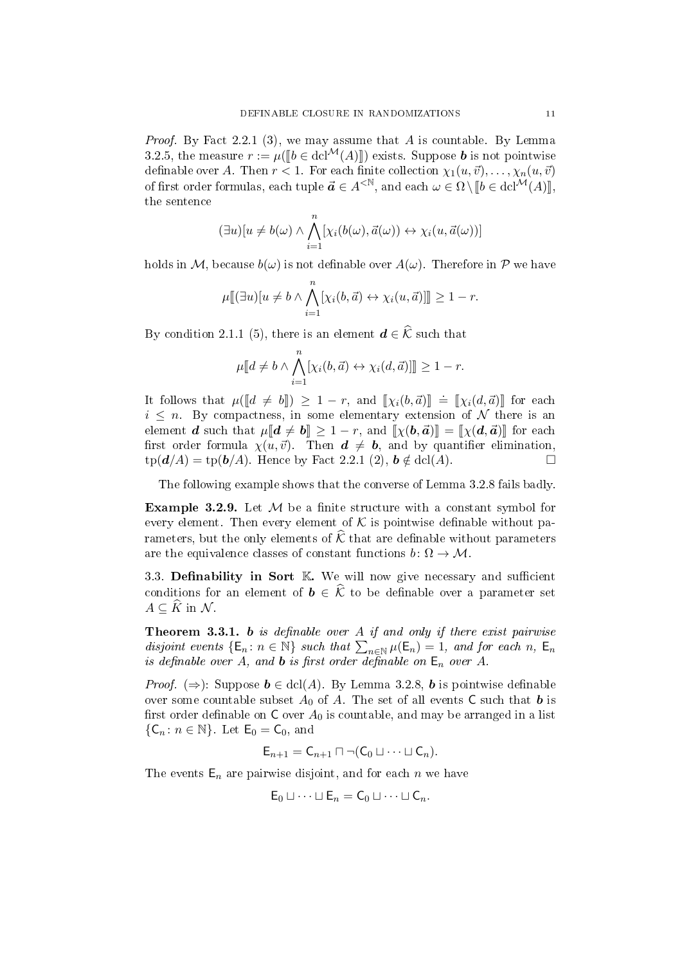*Proof.* By Fact 2.2.1 (3), we may assume that A is countable. By Lemma 3.2.5, the measure  $r := \mu(\llbracket b \in \text{dcl}^{\mathcal{M}}(A) \rrbracket)$  exists. Suppose **b** is not pointwise definable over A. Then  $r < 1$ . For each finite collection  $\chi_1(u, \vec{v}), \ldots, \chi_n(u, \vec{v})$ of first order formulas, each tuple  $\vec{a} \in A^{\langle \mathbb{N} \rangle}$ , and each  $\omega \in \Omega \setminus \llbracket b \in \text{dcl}^{\mathcal{M}}(A) \rrbracket$ the sentence

$$
(\exists u)[u \neq b(\omega) \land \bigwedge_{i=1}^{n} [\chi_i(b(\omega), \vec{a}(\omega)) \leftrightarrow \chi_i(u, \vec{a}(\omega))]
$$

holds in M, because  $b(\omega)$  is not definable over  $A(\omega)$ . Therefore in P we have

$$
\mu[\hspace{-0.04cm}[\exists u\hspace{-0.04cm}] | u \neq b \land \bigwedge_{i=1}^n [\chi_i(b,\vec{a}) \leftrightarrow \chi_i(u,\vec{a})] \hspace{-0.04cm}]\geq 1-r.
$$

By condition 2.1.1 (5), there is an element  $\mathbf{d} \in \widehat{\mathcal{K}}$  such that

$$
\mu[[d \neq b \wedge \bigwedge_{i=1}^n [\chi_i(b,\vec{a}) \leftrightarrow \chi_i(d,\vec{a})]] \geq 1 - r.
$$

It follows that  $\mu([d \neq b]) \geq 1 - r$ , and  $[\![\chi_i(b,\vec{a})]\!] = [\![\chi_i(d,\vec{a})]\!]$  for each  $i \leq n$ . By compactness in some elementary extension of N there is an  $i \leq n$ . By compactness, in some elementary extension of N there is an element **d** such that  $\mu[[d \neq b]] \geq 1 - r$ , and  $[\![\chi(b, \vec{a})]\!] = [\![\chi(d, \vec{a})\!]$  for each first order formula  $\chi(u, \vec{v})$ . Then  $d \neq b$ , and by quantifier elimination.  $tp(\mathbf{d}/A) = tp(\mathbf{b}/A)$ . Hence by Fact 2.2.1 (2),  $\mathbf{b} \notin \text{dcl}(A)$ .

The following example shows that the converse of Lemma 3.2.8 fails badly.

**Example 3.2.9.** Let  $M$  be a finite structure with a constant symbol for every element. Then every element of  $K$  is pointwise definable without parameters, but the only elements of  $\hat{\mathcal{K}}$  that are definable without parameters are the equivalence classes of constant functions  $b: \Omega \to M$ .

3.3. Definability in Sort  $K$ . We will now give necessary and sufficient conditions for an element of  $\mathbf{b} \in \widehat{\mathcal{K}}$  to be definable over a parameter set  $A \subseteq \widehat{K}$  in  $\mathcal{N}$ .

**Theorem 3.3.1. b** is definable over  $A$  if and only if there exist pairwise disjoint events  $\{\mathsf{E}_n : n \in \mathbb{N}\}$  such that  $\sum_{n \in \mathbb{N}} \mu(\mathsf{E}_n) = 1$ , and for each n,  $\mathsf{E}_n$ is definable over A, and **b** is first order definable on  $E_n$  over A.

*Proof.* ( $\Rightarrow$ ): Suppose  $\mathbf{b} \in \text{dcl}(A)$ . By Lemma 3.2.8, **b** is pointwise definable over some countable subset  $A_0$  of A. The set of all events C such that b is first order definable on  $C$  over  $A_0$  is countable, and may be arranged in a list  $\{C_n: n \in \mathbb{N}\}$ . Let  $E_0 = C_0$ , and

$$
\mathsf{E}_{n+1}=\mathsf{C}_{n+1}\sqcap \neg(\mathsf{C}_0\sqcup \cdots \sqcup \mathsf{C}_n).
$$

The events  $E_n$  are pairwise disjoint, and for each n we have

$$
E_0 \sqcup \cdots \sqcup E_n = C_0 \sqcup \cdots \sqcup C_n.
$$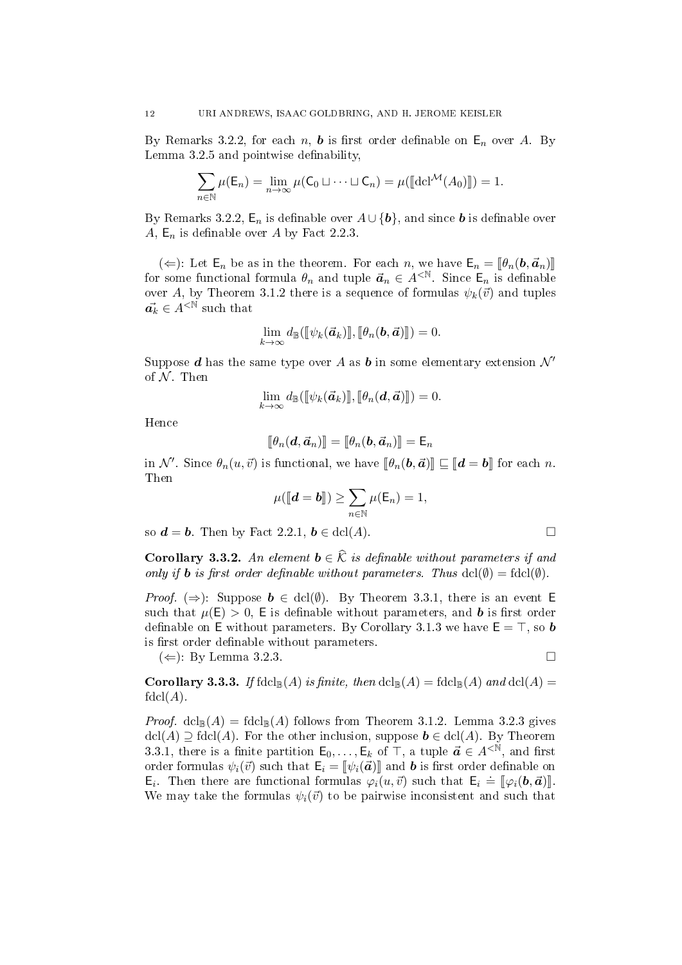By Remarks 3.2.2, for each n, **b** is first order definable on  $\mathsf{E}_n$  over A. By Lemma  $3.2.5$  and pointwise definability,

$$
\sum_{n\in\mathbb{N}}\mu(\mathsf{E}_n)=\lim_{n\to\infty}\mu(\mathsf{C}_0\sqcup\cdots\sqcup\mathsf{C}_n)=\mu([\![\mathrm{dcl}^{\mathcal{M}}(A_0)]\!])=1.
$$

By Remarks 3.2.2,  $E_n$  is definable over  $A \cup \{b\}$ , and since **b** is definable over A,  $E_n$  is definable over A by Fact 2.2.3.

 $(\Leftarrow)$ : Let  $\mathsf{E}_n$  be as in the theorem. For each n, we have  $\mathsf{E}_n = [\![\theta_n(\boldsymbol{b}, \vec{a}_n)]\!]$ for some functional formula  $\theta_n$  and tuple  $\vec{a}_n \in A^{\langle \mathbb{N} \rangle}$ . Since  $\mathsf{E}_n$  is definable over A, by Theorem 3.1.2 there is a sequence of formulas  $\psi_k(\vec{v})$  and tuples  $\vec{a_k} \in A^{\leq \mathbb{N}}$  such that

$$
\lim_{k\to\infty} d_{\mathbb{B}}(\llbracket \psi_k(\vec{a}_k)\rrbracket, \llbracket \theta_n(\bm{b},\vec{a})\rrbracket) = 0.
$$

Suppose d has the same type over A as b in some elementary extension  $\mathcal{N}'$ of  $N$  Then

$$
\lim_{k\to\infty} d_{\mathbb{B}}(\llbracket \psi_k(\vec{\boldsymbol{a}}_k)\rrbracket, \llbracket \theta_n(\boldsymbol{d},\vec{\boldsymbol{a}})\rrbracket) = 0.
$$

Hence

$$
[\![\theta_n(\boldsymbol{d},\vec{\boldsymbol{a}}_n)]\!]=[\![\theta_n(\boldsymbol{b},\vec{\boldsymbol{a}}_n)]\!]=\mathsf{E}_n
$$

in  $\mathcal{N}'$ . Since  $\theta_n(u, \vec{v})$  is functional, we have  $[\![\theta_n(\boldsymbol{b}, \vec{\boldsymbol{a}})]\!] \sqsubseteq [\![\boldsymbol{d} = \boldsymbol{b}]\!]$  for each n. Then

$$
\mu(\llbracket \boldsymbol{d}=\boldsymbol{b}\rrbracket)\geq \sum_{n\in\mathbb{N}}\mu(\mathsf{E}_n)=1,
$$

so  $\mathbf{d} = \mathbf{b}$ . Then by Fact 2.2.1,  $\mathbf{b} \in \text{dcl}(A)$ .

**Corollary 3.3.2.** An element  $\mathbf{b} \in \widehat{\mathcal{K}}$  is definable without parameters if and only if **b** is first order definable without parameters. Thus  $dcl(\emptyset) = \text{fdcl}(\emptyset)$ .

*Proof.* ( $\Rightarrow$ ): Suppose  $\mathbf{b} \in \text{dcl}(\emptyset)$ . By Theorem 3.3.1, there is an event E such that  $\mu(E) > 0$ , E is definable without parameters, and **b** is first order definable on E without parameters. By Corollary 3.1.3 we have  $E = T$ , so **b** is first order definable without parameters.

 $(\Leftarrow)$ : By Lemma 3.2.3.

**Corollary 3.3.3.** If  $\text{fdcl}_{\mathbb{B}}(A)$  is finite, then  $\text{dcl}_{\mathbb{B}}(A) = \text{fdcl}_{\mathbb{B}}(A)$  and  $\text{dcl}(A) =$  $fdcl(A).$ 

*Proof.*  $dcl_{\mathbb{B}}(A) = f dcl_{\mathbb{B}}(A)$  follows from Theorem 3.1.2. Lemma 3.2.3 gives  $\text{dcl}(A) \supseteq \text{fdcl}(A)$ . For the other inclusion, suppose  $\mathbf{b} \in \text{dcl}(A)$ . By Theorem 3.3.1, there is a finite partition  $\mathsf{E}_0, \ldots, \mathsf{E}_k$  of  $\mathsf{T}$ , a tuple  $\vec{a} \in A^{\lt N}$ , and first order formulas  $\psi_i(\vec{v})$  such that  $\mathsf{E}_i = [\psi_i(\vec{a})]$  and **b** is first order definable on  $\mathbf{E}_i$ . Then there are functional formulas  $\varphi_i(u, \vec{v})$  such that  $\mathbf{E}_i \doteq [\varphi_i(\mathbf{b}, \vec{\boldsymbol{a}})]$ .<br>We may take the formulas  $\psi_i(\vec{u})$  to be pairwise inconsistent and such that We may take the formulas  $\psi_i(\vec{v})$  to be pairwise inconsistent and such that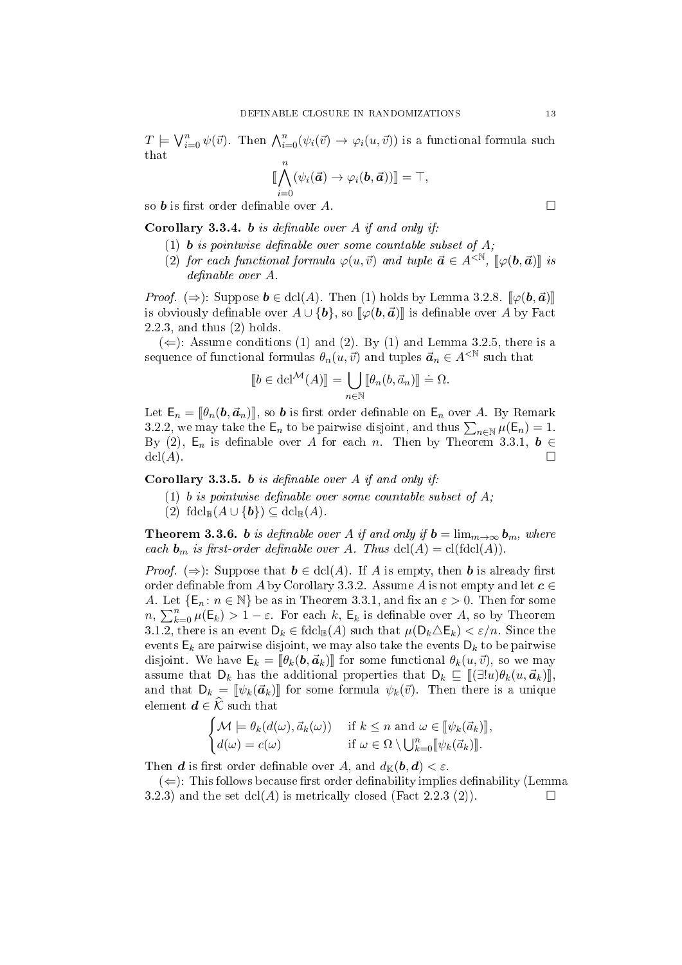$T \models \bigvee_{i=0}^{n} \psi(\vec{v})$ . Then  $\bigwedge_{i=0}^{n} (\psi_i(\vec{v}) \to \varphi_i(u, \vec{v}))$  is a functional formula such that

$$
\llbracket \bigwedge_{i=0}^n (\psi_i(\vec{a}) \to \varphi_i(\bm{b}, \vec{a})) \rrbracket = \top,
$$

so **b** is first order definable over A.

**Corollary 3.3.4.** b is definable over A if and only if:

- (1) **b** is pointwise definable over some countable subset of  $A$ :
- (2) for each functional formula  $\varphi(u, \vec{v})$  and tuple  $\vec{a} \in A^{\langle \mathbb{N}, \mathbb{I} \rangle}$   $[\varphi(\mathbf{b}, \vec{a})]$  is  $definable over A$ .

*Proof.* ( $\Rightarrow$ ): Suppose  $\mathbf{b} \in \text{dcl}(A)$ . Then (1) holds by Lemma 3.2.8.  $\llbracket \varphi(\mathbf{b}, \vec{\mathbf{a}}) \rrbracket$ is obviously definable over  $A \cup \{b\}$ , so  $\llbracket \varphi(b, \vec{a}) \rrbracket$  is definable over A by Fact 2.2.3, and thus (2) holds.

 $(\Leftarrow)$ : Assume conditions (1) and (2). By (1) and Lemma 3.2.5, there is a sequence of functional formulas  $\theta_n(u, \vec{v})$  and tuples  $\vec{a}_n \in A^{\leq N}$  such that

$$
[\![b \in \mathrm{dcl}^\mathcal{M}(A)]\!] = \bigcup_{n \in \mathbb{N}} [\![\theta_n(b, \vec{a}_n)]\!] \doteq \Omega.
$$

Let  $\mathsf{E}_n = [\![\theta_n(\boldsymbol{b}, \vec{\boldsymbol{a}}_n)]\!]$ , so **b** is first order definable on  $\mathsf{E}_n$  over A. By Remark 3.2.2, we may take the  $\mathsf{E}_n$  to be pairwise disjoint, and thus  $\sum_{n\in\mathbb{N}}\mu(\mathsf{E}_n)=1$ . By (2),  $E_n$  is definable over A for each n. Then by Theorem 3.3.1,  $b \in$  $\mathrm{dcl}(A)$ .

**Corollary 3.3.5.** b is definable over A if and only if:

- (1) b is pointwise definable over some countable subset of  $A$ ;
- (2)  $\text{fdcl}_{\mathbb{B}}(A \cup \{b\}) \subseteq \text{dcl}_{\mathbb{B}}(A)$ .

**Theorem 3.3.6.** b is definable over A if and only if  $b = \lim_{m \to \infty} b_m$ , where each  $\mathbf{b}_m$  is first-order definable over A. Thus  $dcl(A) = cl(fdcl(A)).$ 

*Proof.* ( $\Rightarrow$ ): Suppose that  $\mathbf{b} \in \text{dcl}(A)$ . If A is empty, then **b** is already first order definable from A by Corollary 3.3.2. Assume A is not empty and let  $c \in$ A. Let  $\{E_n: n \in \mathbb{N}\}\$ be as in Theorem 3.3.1, and fix an  $\varepsilon > 0$ . Then for some  $n, \sum_{k=0}^{n} \mu(E_k) > 1 - \varepsilon$ . For each k,  $E_k$  is definable over A, so by Theorem 3.1.2, there is an event  $D_k \in \text{fdcl}_{\mathbb{B}}(A)$  such that  $\mu(D_k \triangle E_k) < \varepsilon/n$ . Since the events  $\mathsf{E}_k$  are pairwise disjoint, we may also take the events  $\mathsf{D}_k$  to be pairwise disjoint. We have  $\mathsf{E}_k = [\theta_k(\boldsymbol{b}, \boldsymbol{a}_k)]$  for some functional  $\theta_k(u, \vec{v})$ , so we may assume that  $D_k$  has the additional properties that  $D_k \subseteq \llbracket (\exists! u) \theta_k(u, \vec{a}_k) \rrbracket$ and that  $D_k = \llbracket \psi_k(\vec{a}_k) \rrbracket$  for some formula  $\psi_k(\vec{v})$ . Then there is a unique element  $\boldsymbol{d} \in \widehat{\mathcal{K}}$  such that

$$
\begin{cases} \mathcal{M} \models \theta_k(d(\omega), \vec{a}_k(\omega)) & \text{if } k \leq n \text{ and } \omega \in [\![\psi_k(\vec{a}_k)]\!], \\ d(\omega) = c(\omega) & \text{if } \omega \in \Omega \setminus \bigcup_{k=0}^n [\![\psi_k(\vec{a}_k)]\!]. \end{cases}
$$

Then **d** is first order definable over A, and  $d_{\mathbb{K}}(\boldsymbol{b},\boldsymbol{d}) < \varepsilon$ .

 $(\Leftarrow)$ : This follows because first order definability implies definability (Lemma 3.2.3) and the set  $dcl(A)$  is metrically closed (Fact 2.2.3 (2)).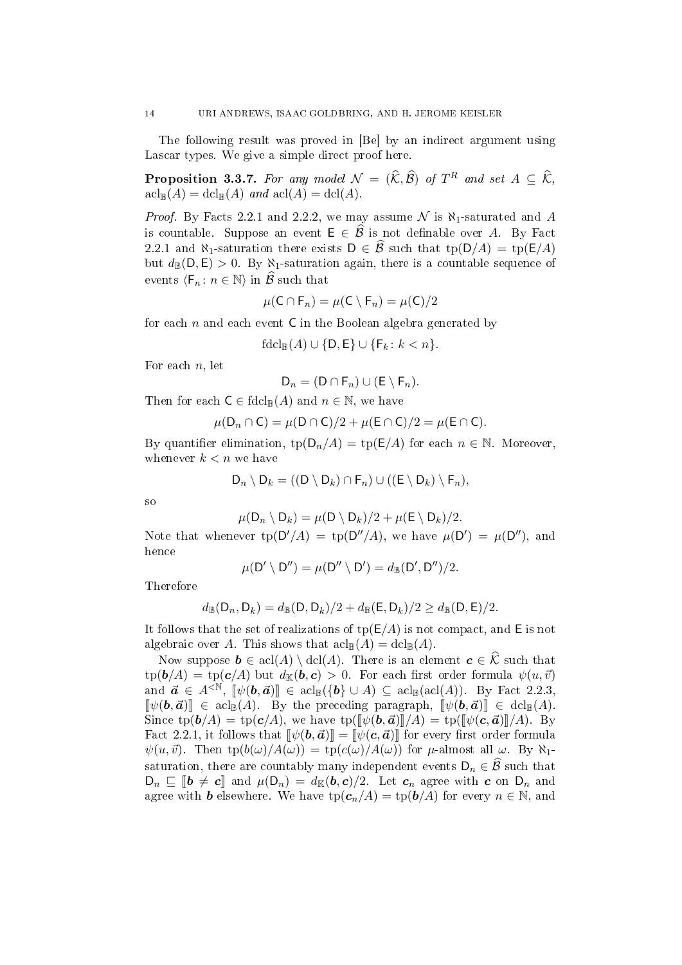The following result was proved in [Be] by an indirect argument using Lascar types. We give a simple direct proof here.

**Proposition 3.3.7.** For any model  $\mathcal{N} = (\widehat{\mathcal{K}}, \widehat{\mathcal{B}})$  of  $T^R$  and set  $A \subseteq \widehat{\mathcal{K}}$ ,  $\operatorname{acl}_{\mathbb{B}}(A) = \operatorname{dcl}_{\mathbb{B}}(A)$  and  $\operatorname{acl}(A) = \operatorname{dcl}(A)$ .

*Proof.* By Facts 2.2.1 and 2.2.2, we may assume  $\mathcal N$  is  $\aleph_1$ -saturated and A is countable. Suppose an event  $\mathsf{E} \in \widehat{\mathcal{B}}$  is not definable over A. By Fact 2.2.1 and  $\aleph_1$ -saturation there exists  $D \in \widehat{\mathcal{B}}$  such that tp( $D/A$ ) = tp( $E/A$ ) but  $d_{\mathbb{B}}(D, E) > 0$ . By  $\aleph_1$ -saturation again, there is a countable sequence of events  $\langle F_n : n \in \mathbb{N} \rangle$  in  $\widehat{\mathcal{B}}$  such that

$$
\mu(\mathsf{C}\cap\mathsf{F}_n)=\mu(\mathsf{C}\setminus\mathsf{F}_n)=\mu(\mathsf{C})/2
$$

for each  $n$  and each event  $C$  in the Boolean algebra generated by

$$
\mathrm{fdcl}_{\mathbb{B}}(A) \cup \{D, E\} \cup \{F_k \colon k < n\}.
$$

For each  $n$ , let

$$
D_n = (D \cap F_n) \cup (E \setminus F_n).
$$

Then for each  $C \in \text{fdcl}_{\mathbb{B}}(A)$  and  $n \in \mathbb{N}$ , we have

$$
\mu(D_n \cap C) = \mu(D \cap C)/2 + \mu(E \cap C)/2 = \mu(E \cap C).
$$

By quantifier elimination,  $tp(D_n/A) = tp(E/A)$  for each  $n \in \mathbb{N}$ . Moreover, whenever  $k < n$  we have

$$
D_n \setminus D_k = ((D \setminus D_k) \cap F_n) \cup ((E \setminus D_k) \setminus F_n),
$$

so

$$
\mu(\mathsf{D}_n \setminus \mathsf{D}_k) = \mu(\mathsf{D} \setminus \mathsf{D}_k)/2 + \mu(\mathsf{E} \setminus \mathsf{D}_k)/2.
$$

Note that whenever  $tp(D'/A) = tp(D''/A)$ , we have  $\mu(D') = \mu(D'')$ , and hence

$$
\mu(\mathsf{D}'\setminus \mathsf{D}'')=\mu(\mathsf{D}''\setminus \mathsf{D}')=d_{\mathbb{B}}(\mathsf{D}',\mathsf{D}'')/2.
$$

Therefore

$$
d_{\mathbb{B}}(\mathsf{D}_n, \mathsf{D}_k) = d_{\mathbb{B}}(\mathsf{D}, \mathsf{D}_k)/2 + d_{\mathbb{B}}(\mathsf{E}, \mathsf{D}_k)/2 \geq d_{\mathbb{B}}(\mathsf{D}, \mathsf{E})/2.
$$

It follows that the set of realizations of  $tp(E/A)$  is not compact, and E is not algebraic over A. This shows that  $\operatorname{acl}_{\mathbb{B}}(A) = \operatorname{dcl}_{\mathbb{B}}(A)$ .

Now suppose  $\mathbf{b} \in \text{acl}(A) \setminus \text{dcl}(A)$ . There is an element  $\mathbf{c} \in \widehat{\mathcal{K}}$  such that  $tp(\mathbf{b}/A) = tp(\mathbf{c}/A)$  but  $d_{\mathbb{K}}(\mathbf{b}, \mathbf{c}) > 0$ . For each first order formula  $\psi(u, \vec{v})$ and  $\vec{a} \in A^{\leq \mathbb{N}}$ ,  $[\![\psi(\mathbf{b}, \vec{a})\!] \in \text{acl}_{\mathbb{B}}(\{\mathbf{b}\} \cup A) \subseteq \text{acl}_{\mathbb{B}}(\text{acl}(A))$ . By Fact 2.2.3,  $[\![\psi(\mathbf{b},\vec{\boldsymbol{a}})]\!] \in \text{acl}_{\mathbb{B}}(A)$ . By the preceding paragraph,  $[\![\psi(\mathbf{b},\vec{\boldsymbol{a}})]\!] \in \text{dcl}_{\mathbb{B}}(A)$ . Since  $\text{tp}(\mathbf{b}/A) = \text{tp}(\mathbf{c}/A)$ , we have  $\text{tp}([\psi(\mathbf{b}, \vec{\boldsymbol{a}})]/A) = \text{tp}([\psi(\mathbf{c}, \vec{\boldsymbol{a}})]/A)$ . By Fact 2.2.1, it follows that  $\llbracket \psi(b, \vec{a}) \rrbracket = \llbracket \psi(c, \vec{a}) \rrbracket$  for every first order formula  $\psi(u, \vec{v})$ . Then  $\text{tp}(b(\omega)/A(\omega)) = \text{tp}(c(\omega)/A(\omega))$  for  $\mu$ -almost all  $\omega$ . By  $\aleph_1$ saturation, there are countably many independent events  $D_n \in \widehat{\mathcal{B}}$  such that  $D_n \sqsubseteq [$ **b**  $\neq c$ ] and  $\mu(D_n) = d_{\mathbb{K}}(\boldsymbol{b}, c)/2$ . Let  $c_n$  agree with  $c$  on  $D_n$  and agree with  $\boldsymbol{b}$  elsewhere. We have  $tp(c_n/A) = tp(\boldsymbol{b}/A)$  for every  $n \in \mathbb{N}$ , and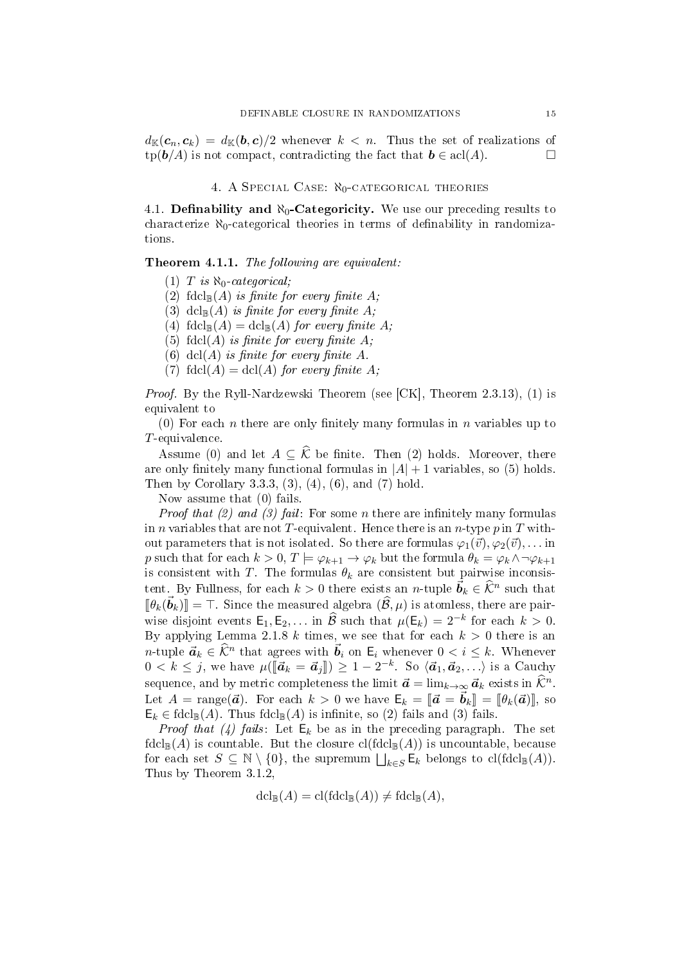$d_{\mathbb{K}}(c_n, c_k) = d_{\mathbb{K}}(b, c)/2$  whenever  $k < n$ . Thus the set of realizations of  $\text{tp}(\boldsymbol{b}/A)$  is not compact, contradicting the fact that  $\boldsymbol{b} \in \text{acl}(A)$ .

# 4. A SPECIAL CASE:  $\aleph_0$ -CATEGORICAL THEORIES

4.1. Definability and  $\aleph_0$ -Categoricity. We use our preceding results to characterize  $\aleph_0$ -categorical theories in terms of definability in randomizations.

Theorem 4.1.1. The following are equivalent:

(1) T is  $\aleph_0$ -categorical;

(2) fdcl<sub>B</sub>(A) is finite for every finite A;

(3) dcl<sub>R</sub>(A) is finite for every finite A;

(4)  $\text{fdcl}_{\mathbb{B}}(A) = \text{dcl}_{\mathbb{B}}(A)$  for every finite A;

(5) fdcl(A) is finite for every finite  $A$ ;

(6) dcl(A) is finite for every finite A.

(7) fdcl(A) = dcl(A) for every finite A;

Proof. By the Ryll-Nardzewski Theorem (see [CK], Theorem 2.3.13), (1) is equivalent to

(0) For each n there are only finitely many formulas in n variables up to T-equivalence.

Assume (0) and let  $A \subseteq \hat{\mathcal{K}}$  be finite. Then (2) holds. Moreover, there are only finitely many functional formulas in  $|A| + 1$  variables, so (5) holds. Then by Corollary 3.3.3, (3), (4), (6), and (7) hold.

Now assume that (0) fails.

*Proof that (2) and (3) fail:* For some *n* there are infinitely many formulas in *n* variables that are not T-equivalent. Hence there is an *n*-type  $p$  in  $T$  without parameters that is not isolated. So there are formulas  $\varphi_1(\vec{v}), \varphi_2(\vec{v}), \ldots$  in p such that for each  $k > 0, T \models \varphi_{k+1} \to \varphi_k$  but the formula  $\theta_k = \varphi_k \land \neg \varphi_{k+1}$ is consistent with T. The formulas  $\theta_k$  are consistent but pairwise inconsistent. By Fullness, for each  $k > 0$  there exists an *n*-tuple  $\vec{b}_k \in \widehat{\mathcal{K}}^n$  such that  $[\![\theta_k(\vec{b}_k)]\!] = \top$ . Since the measured algebra  $(\widehat{\mathcal{B}}, \mu)$  is atomless, there are pair-<br>i.e. directions a subset  $\widehat{\mathcal{B}}$  and the subset  $\widehat{\mathcal{B}}$  and  $\widehat{\mathcal{B}}$  and  $\widehat{\mathcal{B}}$  and  $\widehat{\mathcal{B}}$  and  $\widehat{\mathcal{B}}$  a wise disjoint events  $\mathsf{E}_1, \mathsf{E}_2, \ldots$  in  $\widehat{\mathcal{B}}$  such that  $\mu(\mathsf{E}_k) = 2^{-k}$  for each  $k > 0$ . By applying Lemma 2.1.8 k times, we see that for each  $k > 0$  there is an n-tuple  $\vec{a}_k \in \widehat{\mathcal{K}}^n$  that agrees with  $\vec{b}_i$  on  $\mathsf{E}_i$  whenever  $0 < i \leq k$ . Whenever  $0 < k \leq j$ , we have  $\mu([\mathbf{\vec{a}}_k = \mathbf{\vec{a}}_j]) \geq 1 - 2^{-k}$ . So  $\langle \mathbf{\vec{a}}_1, \mathbf{\vec{a}}_2, \ldots \rangle$  is a Cauchy sequence, and by metric completeness the limit  $\vec{a} = \lim_{k \to \infty} \vec{a}_k$  exists in  $\hat{\mathcal{K}}^n$ . Let  $A = \text{range}(\vec{a})$ . For each  $k > 0$  we have  $\mathsf{E}_k = [\vec{a} = \vec{b}_k] = [\theta_k(\vec{a})],$  so  $\mathsf{E}_k \in \mathrm{fdcl}_{\mathbb{B}}(A)$ . Thus  $\mathrm{fdcl}_{\mathbb{B}}(A)$  is infinite, so (2) fails and (3) fails.

*Proof that* (4) fails: Let  $E_k$  be as in the preceding paragraph. The set  $\text{fdcl}_{\mathbb{B}}(A)$  is countable. But the closure  $\text{cl}(\text{fdcl}_{\mathbb{B}}(A))$  is uncountable, because for each set  $S \subseteq \mathbb{N} \setminus \{0\}$ , the supremum  $\bigsqcup_{k \in S} \mathsf{E}_k$  belongs to  $\text{cl}(\text{fdcl}_{\mathbb{B}}(A)).$ Thus by Theorem 3.1.2,

$$
\operatorname{dcl}_{\mathbb{B}}(A) = \operatorname{cl}(\operatorname{fdcl}_{\mathbb{B}}(A)) \neq \operatorname{fdcl}_{\mathbb{B}}(A),
$$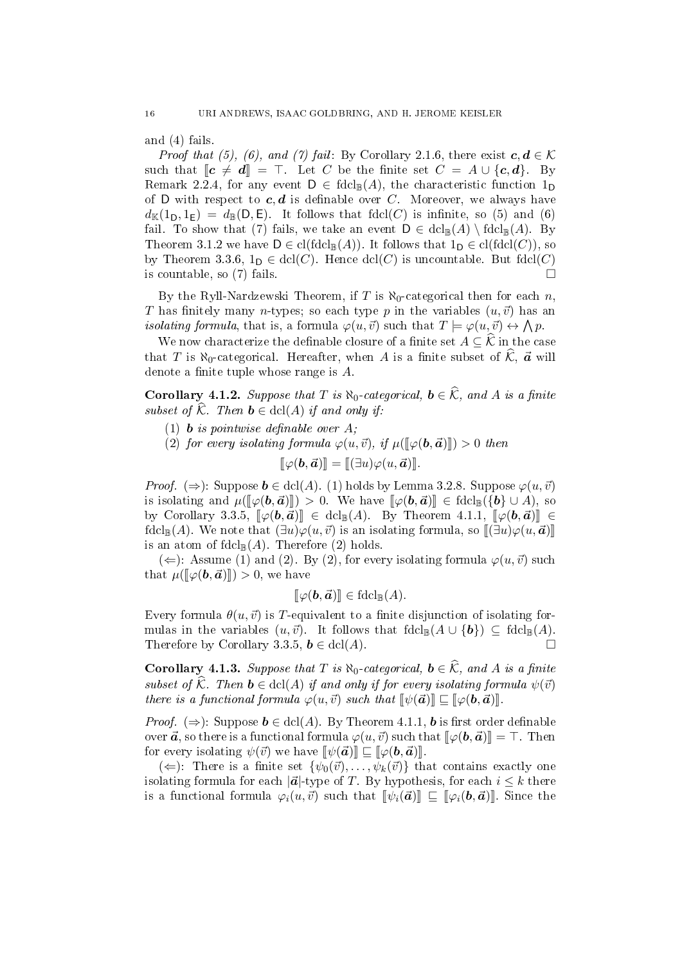and (4) fails.

*Proof that (5), (6), and (7) fail:* By Corollary 2.1.6, there exist  $c, d \in \mathcal{K}$ such that  $\llbracket c \neq d \rrbracket = \top$ . Let C be the finite set  $C = A \cup \{c, d\}$ . By Remark 2.2.4, for any event  $D \in \text{fdcl}_{\mathbb{B}}(A)$ , the characteristic function  $1_D$ of D with respect to  $c, d$  is definable over C. Moreover, we always have  $d_{\mathbb{K}}(1_{D}, 1_{E}) = d_{\mathbb{B}}(D, E)$ . It follows that fdcl(C) is infinite, so (5) and (6) fail. To show that (7) fails, we take an event  $D \in \text{dcl}_{\mathbb{B}}(A) \setminus \text{fdcl}_{\mathbb{B}}(A)$ . By Theorem 3.1.2 we have  $D \in \text{cl}(f dcl_{\mathbb{R}}(A))$ . It follows that  $1_D \in \text{cl}(f dcl(C))$ , so by Theorem 3.3.6,  $1_D \in \text{dcl}(C)$ . Hence  $\text{dcl}(C)$  is uncountable. But  $\text{fdcl}(C)$ is countable, so (7) fails.  $\square$ 

By the Ryll-Nardzewski Theorem, if T is  $\aleph_0$ -categorical then for each n, T has finitely many n-types; so each type p in the variables  $(u, \vec{v})$  has an *isolating formula*, that is, a formula  $\varphi(u, \vec{v})$  such that  $T \models \varphi(u, \vec{v}) \leftrightarrow \bigwedge p$ .

We now characterize the definable closure of a finite set  $A \subseteq \widehat{\mathcal{K}}$  in the case that T is  $\aleph_0$ -categorical. Hereafter, when A is a finite subset of  $\widehat{\mathcal{K}}$ ,  $\vec{a}$  will denote a finite tuple whose range is  $A$ .

Corollary 4.1.2. Suppose that T is  $\aleph_0$ -categorical,  $\mathbf{b} \in \widehat{\mathcal{K}}$ , and A is a finite subset of  $\widehat{\mathcal{K}}$ . Then  $\mathbf{b} \in \text{dcl}(A)$  if and only if:

- (1) **b** is pointwise definable over  $A$ ;
- (2) for every isolating formula  $\varphi(u, \vec{v})$ , if  $\mu([\varphi(\mathbf{b}, \vec{\boldsymbol{a}})]) > 0$  then

$$
[\![\varphi(\bm{b},\vec{\bm{a}})]\!] = [\![(\exists u)\varphi(u,\vec{\bm{a}})]\!].
$$

*Proof.* ( $\Rightarrow$ ): Suppose  $\mathbf{b} \in \text{dcl}(A)$ . (1) holds by Lemma 3.2.8. Suppose  $\varphi(u, \vec{v})$ is isolating and  $\mu(\llbracket \varphi(\mathbf{b}, \mathbf{\vec{a}}) \rrbracket) > 0$ . We have  $\llbracket \varphi(\mathbf{b}, \mathbf{\vec{a}}) \rrbracket \in \text{fdcl}_{\mathbb{R}}({\{\mathbf{b}\} \cup A})$ , so by Corollary 3.3.5,  $\llbracket \varphi(\mathbf{b}, \mathbf{\vec{a}}) \rrbracket \in \text{dcl}_{\mathbb{B}}(A)$ . By Theorem 4.1.1,  $\llbracket \varphi(\mathbf{b}, \mathbf{\vec{a}}) \rrbracket \in$ fdcl<sub>B</sub>(A). We note that  $(\exists u)\varphi(u,\vec{v})$  is an isolating formula, so  $[\![\exists u]\varphi(u,\vec{a})]\!]$ is an atom of  $\text{fdcl}_{\mathbb{B}}(A)$ . Therefore (2) holds.

(∈): Assume (1) and (2). By (2), for every isolating formula  $\varphi(u, \vec{v})$  such that  $\mu(\llbracket \varphi(\mathbf{b}, \mathbf{d}) \rrbracket) > 0$ , we have

$$
[\![\varphi(\mathbf{b},\mathbf{a})]\!]\in \mathrm{fdcl}_\mathbb{B}(A).
$$

Every formula  $\theta(u, \vec{v})$  is T-equivalent to a finite disjunction of isolating formulas in the variables  $(u, \vec{v})$ . It follows that  $\text{fdcl}_{\mathbb{B}}(A \cup \{b\}) \subseteq \text{fdcl}_{\mathbb{B}}(A)$ . Therefore by Corollary 3.3.5,  $\mathbf{b} \in \text{dcl}(A)$ .

Corollary 4.1.3. Suppose that T is  $\aleph_0$ -categorical,  $\mathbf{b} \in \widehat{\mathcal{K}}$ , and A is a finite subset of  $\widehat{\mathcal{K}}$ . Then  $\mathbf{b} \in \text{dcl}(A)$  if and only if for every isolating formula  $\psi(\vec{v})$ there is a functional formula  $\varphi(u, \vec{v})$  such that  $[\![\psi(\vec{a})]\!] \sqsubseteq [\![\varphi(\bm{b}, \vec{a})\!]$ .

*Proof.* ( $\Rightarrow$ ): Suppose  $\mathbf{b} \in \text{dcl}(A)$ . By Theorem 4.1.1, **b** is first order definable over  $\vec{a}$ , so there is a functional formula  $\varphi(u, \vec{v})$  such that  $[\varphi(\bm{b}, \vec{a})] = \top$ . Then for every isolating  $\psi(\vec{v})$  we have  $[\![\psi(\vec{a})]\!] \sqsubseteq [\![\varphi(\mathbf{b}, \vec{a})]\!]$ .

( $\Leftarrow$ ): There is a finite set  $\{\psi_0(\vec{v}), \ldots, \psi_k(\vec{v})\}$  that contains exactly one isolating formula for each  $|\vec{a}|$ -type of T. By hypothesis, for each  $i \leq k$  there is a functional formula  $\varphi_i(u, \vec{v})$  such that  $[\![\psi_i(\vec{a})\!] \sqsubseteq [\![\varphi_i(\bm{b}, \vec{a})\!]$ . Since the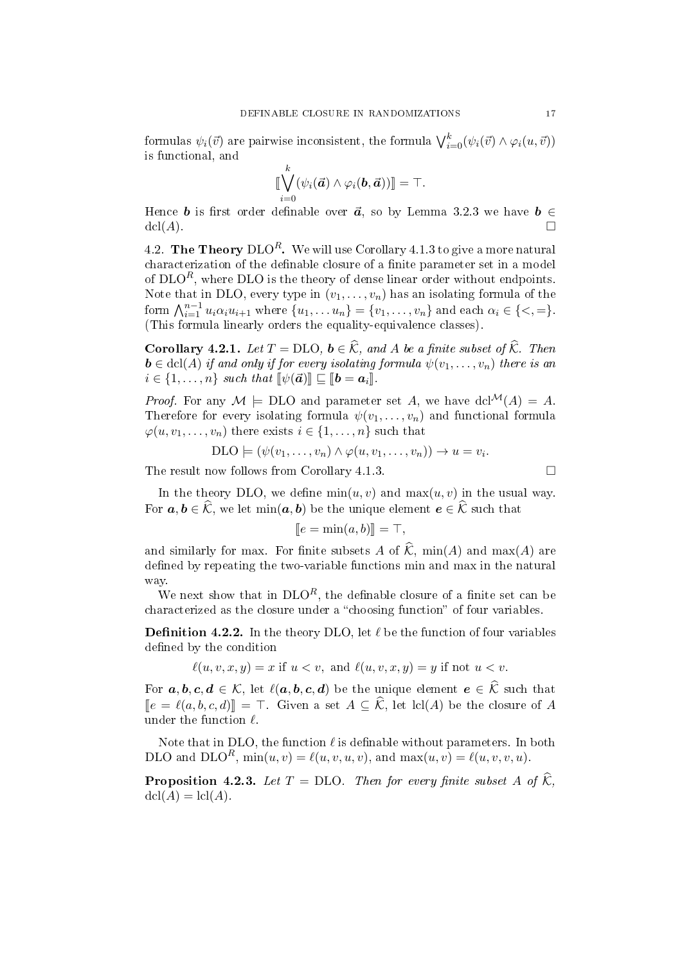formulas  $\psi_i(\vec{v})$  are pairwise inconsistent, the formula  $\bigvee_{i=0}^k (\psi_i(\vec{v}) \wedge \varphi_i(u, \vec{v}))$ is functional, and

$$
\llbracket \bigvee_{i=0}^k (\psi_i(\vec{a}) \wedge \varphi_i(\bm{b}, \vec{a})) \rrbracket = \top.
$$

Hence **b** is first order definable over  $\vec{a}$ , so by Lemma 3.2.3 we have  $\mathbf{b} \in \mathbb{R}$  $\mathrm{dcl}(A)$ .

4.2. The Theory  $DLO<sup>R</sup>$ . We will use Corollary 4.1.3 to give a more natural characterization of the definable closure of a finite parameter set in a model of  $DLO<sup>R</sup>$ , where  $DLO$  is the theory of dense linear order without endpoints. Note that in DLO, every type in  $(v_1, \ldots, v_n)$  has an isolating formula of the form  $\bigwedge_{i=1}^{n-1} u_i \alpha_i u_{i+1}$  where  $\{u_1, \ldots u_n\} = \{v_1, \ldots, v_n\}$  and each  $\alpha_i \in \{<, =\}$ . (This formula linearly orders the equality-equivalence classes).

**Corollary 4.2.1.** Let  $T = \text{DLO}$ ,  $\mathbf{b} \in \widehat{\mathcal{K}}$ , and A be a finite subset of  $\widehat{\mathcal{K}}$ . Then  $\mathbf{b} \in \text{dcl}(A)$  if and only if for every isolating formula  $\psi(v_1, \ldots, v_n)$  there is an  $i \in \{1, \ldots, n\}$  such that  $\llbracket \psi(\vec{a}) \rrbracket \subseteq \llbracket \bm{b} = \bm{a}_i \rrbracket$ .

*Proof.* For any  $M \models \text{DLO}$  and parameter set A, we have dcl<sup>M</sup>(A) = A. Therefore for every isolating formula  $\psi(v_1, \ldots, v_n)$  and functional formula  $\varphi(u, v_1, \ldots, v_n)$  there exists  $i \in \{1, \ldots, n\}$  such that

$$
\text{DLO} \models (\psi(v_1, \ldots, v_n) \land \varphi(u, v_1, \ldots, v_n)) \to u = v_i.
$$

The result now follows from Corollary 4.1.3.

In the theory DLO, we define  $min(u, v)$  and  $max(u, v)$  in the usual way. For  $a, b \in \widehat{\mathcal{K}}$ , we let  $\min(a, b)$  be the unique element  $e \in \widehat{\mathcal{K}}$  such that

$$
[\![e=\min(a,b)]\!]=\top,
$$

and similarly for max. For finite subsets  $A$  of  $K$ , min $(A)$  and max $(A)$  are defined by repeating the two-variable functions min and max in the natural way.

We next show that in  $DLO<sup>R</sup>$ , the definable closure of a finite set can be characterized as the closure under a "choosing function" of four variables.

**Definition 4.2.2.** In the theory DLO, let  $\ell$  be the function of four variables defined by the condition

 $\ell(u, v, x, y) = x$  if  $u < v$ , and  $\ell(u, v, x, y) = y$  if not  $u < v$ .

For  $a, b, c, d \in \mathcal{K}$ , let  $\ell(a, b, c, d)$  be the unique element  $e \in \widehat{\mathcal{K}}$  such that  $\notag \[e = \ell(a, b, c, d)]\notag = \top$ . Given a set  $A \subseteq \widehat{\mathcal{K}}$ , let lcl(A) be the closure of A under the function  $\ell$ .

Note that in DLO, the function  $\ell$  is definable without parameters. In both DLO and DLO<sup>R</sup>,  $min(u, v) = \ell(u, v, u, v)$ , and  $max(u, v) = \ell(u, v, v, u)$ .

**Proposition 4.2.3.** Let  $T = DLO$ . Then for every finite subset A of  $\widehat{\mathcal{K}}$ ,  $dcl(A) = cl(A).$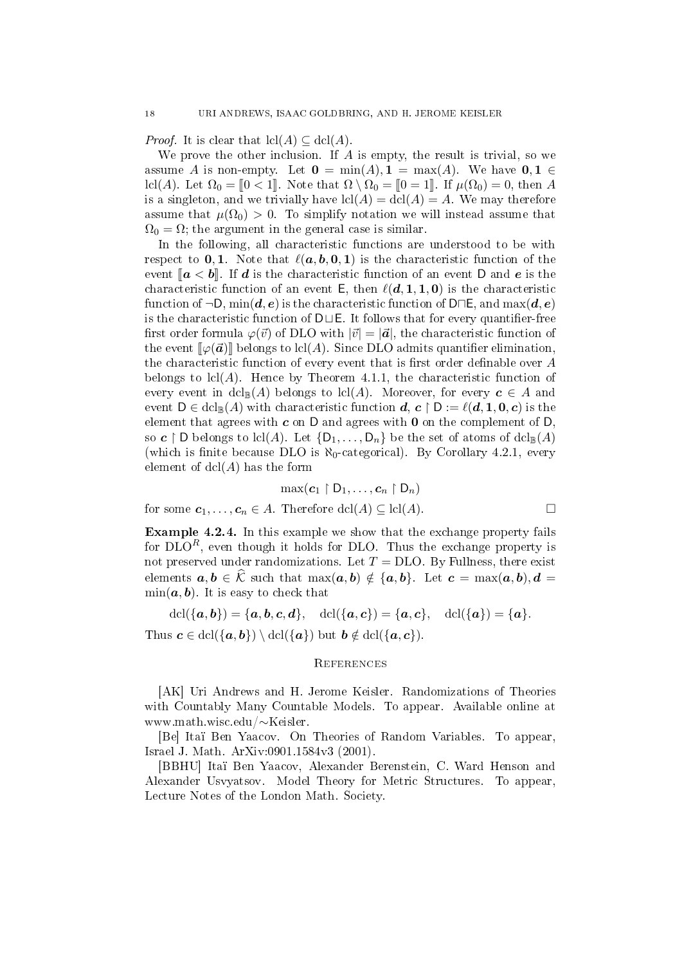*Proof.* It is clear that  $\text{lcl}(A) \subseteq \text{dcl}(A)$ .

We prove the other inclusion. If  $A$  is empty, the result is trivial, so we assume A is non-empty. Let  $\mathbf{0} = \min(A), \mathbf{1} = \max(A)$ . We have  $\mathbf{0}, \mathbf{1} \in$ lcl(A). Let  $\Omega_0 = [0 \lt 1]$ . Note that  $\Omega \setminus \Omega_0 = [0 \lt 1]$ . If  $\mu(\Omega_0) = 0$ , then A is a singleton, and we trivially have  $\text{lcl}(A) = \text{dcl}(A) = A$ . We may therefore assume that  $\mu(\Omega_0) > 0$ . To simplify notation we will instead assume that  $\Omega_0 = \Omega$ ; the argument in the general case is similar.

In the following, all characteristic functions are understood to be with respect to **0, 1**. Note that  $\ell(a, b, 0, 1)$  is the characteristic function of the event  $\llbracket a < b \rrbracket$ . If d is the characteristic function of an event D and e is the characteristic function of an event E, then  $\ell(d, 1, 1, 0)$  is the characteristic function of  $\neg D$ ,  $\min(\mathbf{d}, \mathbf{e})$  is the characteristic function of  $D \Box E$ , and  $\max(\mathbf{d}, \mathbf{e})$ is the characteristic function of  $D \sqcup E$ . It follows that for every quantifier-free first order formula  $\varphi(\vec{v})$  of DLO with  $|\vec{v}| = |\vec{a}|$ , the characteristic function of the event  $\llbracket \varphi(\vec{a})\rrbracket$  belongs to lcl(A). Since DLO admits quantifier elimination. the characteristic function of every event that is first order definable over  $A$ belongs to  $\text{lcl}(A)$ . Hence by Theorem 4.1.1, the characteristic function of every event in  $dcl_{\mathbb{B}}(A)$  belongs to  $lcl(A)$ . Moreover, for every  $c \in A$  and event  $D \in \text{dcl}_{\mathbb{B}}(A)$  with characteristic function  $d, c \restriction D := \ell(d, 1, 0, c)$  is the element that agrees with  $c$  on D and agrees with  $0$  on the complement of D so  $c \restriction D$  belongs to lcl(A). Let  $\{D_1, \ldots, D_n\}$  be the set of atoms of  $dcl_{\mathbb{B}}(A)$ (which is finite because DLO is  $\aleph_0$ -categorical). By Corollary 4.2.1, every element of  $dcl(A)$  has the form

$$
\max(\mathbf{c}_1 \upharpoonright \mathsf{D}_1, \ldots, \mathbf{c}_n \upharpoonright \mathsf{D}_n)
$$
  
for some  $\mathbf{c}_1, \ldots, \mathbf{c}_n \in A$ . Therefore  $\text{dcl}(A) \subseteq \text{lcl}(A)$ .

$$
\Box
$$

Example 4.2.4. In this example we show that the exchange property fails for  $DLO<sup>R</sup>$ , even though it holds for DLO. Thus the exchange property is not preserved under randomizations. Let  $T = DLO$ . By Fullness, there exist elements  $a, b \in \widehat{K}$  such that  $\max(a, b) \notin \{a, b\}$ . Let  $c = \max(a, b), d =$  $\min(a, b)$ . It is easy to check that

 $\det(\{a, b\}) = \{a, b, c, d\}, \quad \det(\{a, c\}) = \{a, c\}, \quad \det(\{a\}) = \{a\}.$ Thus  $c \in \text{dcl}(\{a, b\}) \setminus \text{dcl}(\{a\})$  but  $b \notin \text{dcl}(\{a, c\}).$ 

# **REFERENCES**

[AK] Uri Andrews and H. Jerome Keisler. Randomizations of Theories with Countably Many Countable Models. To appear. Available online at www.math.wisc.edu/∼Keisler.

[Be] Itaï Ben Yaacov. On Theories of Random Variables. To appear, Israel J. Math. ArXiv:0901.1584v3 (2001).

[BBHU] Itaï Ben Yaacov, Alexander Berenstein, C. Ward Henson and Alexander Usvyatsov. Model Theory for Metric Structures. To appear, Lecture Notes of the London Math. Society.